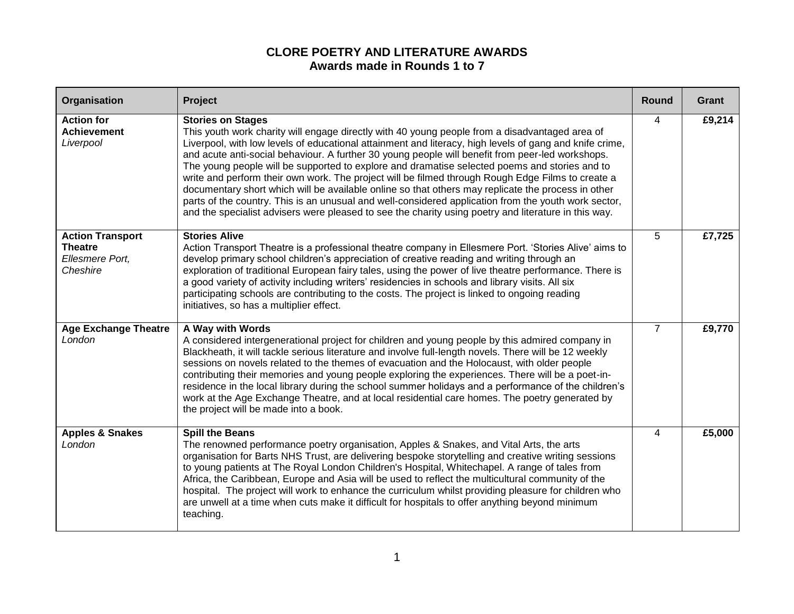## **CLORE POETRY AND LITERATURE AWARDS Awards made in Rounds 1 to 7**

| Organisation                                                             | Project                                                                                                                                                                                                                                                                                                                                                                                                                                                                                                                                                                                                                                                                                                                                                                                                                                                               | <b>Round</b>   | Grant  |
|--------------------------------------------------------------------------|-----------------------------------------------------------------------------------------------------------------------------------------------------------------------------------------------------------------------------------------------------------------------------------------------------------------------------------------------------------------------------------------------------------------------------------------------------------------------------------------------------------------------------------------------------------------------------------------------------------------------------------------------------------------------------------------------------------------------------------------------------------------------------------------------------------------------------------------------------------------------|----------------|--------|
| <b>Action for</b><br><b>Achievement</b><br>Liverpool                     | <b>Stories on Stages</b><br>This youth work charity will engage directly with 40 young people from a disadvantaged area of<br>Liverpool, with low levels of educational attainment and literacy, high levels of gang and knife crime,<br>and acute anti-social behaviour. A further 30 young people will benefit from peer-led workshops.<br>The young people will be supported to explore and dramatise selected poems and stories and to<br>write and perform their own work. The project will be filmed through Rough Edge Films to create a<br>documentary short which will be available online so that others may replicate the process in other<br>parts of the country. This is an unusual and well-considered application from the youth work sector,<br>and the specialist advisers were pleased to see the charity using poetry and literature in this way. | 4              | £9,214 |
| <b>Action Transport</b><br><b>Theatre</b><br>Ellesmere Port,<br>Cheshire | <b>Stories Alive</b><br>Action Transport Theatre is a professional theatre company in Ellesmere Port. 'Stories Alive' aims to<br>develop primary school children's appreciation of creative reading and writing through an<br>exploration of traditional European fairy tales, using the power of live theatre performance. There is<br>a good variety of activity including writers' residencies in schools and library visits. All six<br>participating schools are contributing to the costs. The project is linked to ongoing reading<br>initiatives, so has a multiplier effect.                                                                                                                                                                                                                                                                                 | 5              | £7,725 |
| <b>Age Exchange Theatre</b><br>London                                    | A Way with Words<br>A considered intergenerational project for children and young people by this admired company in<br>Blackheath, it will tackle serious literature and involve full-length novels. There will be 12 weekly<br>sessions on novels related to the themes of evacuation and the Holocaust, with older people<br>contributing their memories and young people exploring the experiences. There will be a poet-in-<br>residence in the local library during the school summer holidays and a performance of the children's<br>work at the Age Exchange Theatre, and at local residential care homes. The poetry generated by<br>the project will be made into a book.                                                                                                                                                                                    | $\overline{7}$ | £9,770 |
| <b>Apples &amp; Snakes</b><br>London                                     | <b>Spill the Beans</b><br>The renowned performance poetry organisation, Apples & Snakes, and Vital Arts, the arts<br>organisation for Barts NHS Trust, are delivering bespoke storytelling and creative writing sessions<br>to young patients at The Royal London Children's Hospital, Whitechapel. A range of tales from<br>Africa, the Caribbean, Europe and Asia will be used to reflect the multicultural community of the<br>hospital. The project will work to enhance the curriculum whilst providing pleasure for children who<br>are unwell at a time when cuts make it difficult for hospitals to offer anything beyond minimum<br>teaching.                                                                                                                                                                                                                | 4              | £5,000 |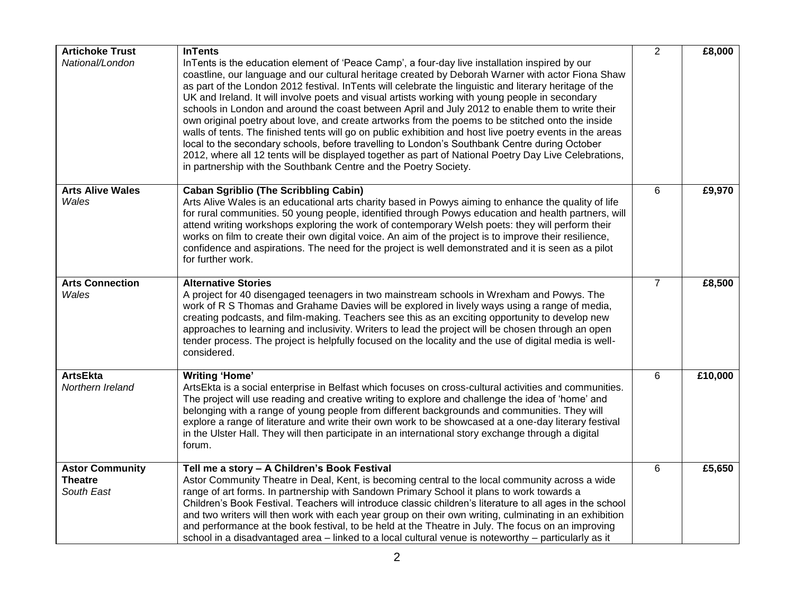| <b>Artichoke Trust</b>                                 | <b>InTents</b>                                                                                                                                                                                                                                                                                                                                                                                                                                                                                                                                                                                                                                                                                                                                                                                                                                                                                                                                                                                                        | $\overline{2}$ | £8,000  |
|--------------------------------------------------------|-----------------------------------------------------------------------------------------------------------------------------------------------------------------------------------------------------------------------------------------------------------------------------------------------------------------------------------------------------------------------------------------------------------------------------------------------------------------------------------------------------------------------------------------------------------------------------------------------------------------------------------------------------------------------------------------------------------------------------------------------------------------------------------------------------------------------------------------------------------------------------------------------------------------------------------------------------------------------------------------------------------------------|----------------|---------|
| National/London                                        | InTents is the education element of 'Peace Camp', a four-day live installation inspired by our<br>coastline, our language and our cultural heritage created by Deborah Warner with actor Fiona Shaw<br>as part of the London 2012 festival. In Tents will celebrate the linguistic and literary heritage of the<br>UK and Ireland. It will involve poets and visual artists working with young people in secondary<br>schools in London and around the coast between April and July 2012 to enable them to write their<br>own original poetry about love, and create artworks from the poems to be stitched onto the inside<br>walls of tents. The finished tents will go on public exhibition and host live poetry events in the areas<br>local to the secondary schools, before travelling to London's Southbank Centre during October<br>2012, where all 12 tents will be displayed together as part of National Poetry Day Live Celebrations,<br>in partnership with the Southbank Centre and the Poetry Society. |                |         |
| <b>Arts Alive Wales</b><br>Wales                       | <b>Caban Sgriblio (The Scribbling Cabin)</b><br>Arts Alive Wales is an educational arts charity based in Powys aiming to enhance the quality of life<br>for rural communities. 50 young people, identified through Powys education and health partners, will<br>attend writing workshops exploring the work of contemporary Welsh poets: they will perform their<br>works on film to create their own digital voice. An aim of the project is to improve their resilience,<br>confidence and aspirations. The need for the project is well demonstrated and it is seen as a pilot<br>for further work.                                                                                                                                                                                                                                                                                                                                                                                                                | 6              | £9,970  |
| <b>Arts Connection</b><br>Wales                        | <b>Alternative Stories</b><br>A project for 40 disengaged teenagers in two mainstream schools in Wrexham and Powys. The<br>work of R S Thomas and Grahame Davies will be explored in lively ways using a range of media,<br>creating podcasts, and film-making. Teachers see this as an exciting opportunity to develop new<br>approaches to learning and inclusivity. Writers to lead the project will be chosen through an open<br>tender process. The project is helpfully focused on the locality and the use of digital media is well-<br>considered.                                                                                                                                                                                                                                                                                                                                                                                                                                                            | $\overline{7}$ | £8,500  |
| <b>ArtsEkta</b><br>Northern Ireland                    | <b>Writing 'Home'</b><br>ArtsEkta is a social enterprise in Belfast which focuses on cross-cultural activities and communities.<br>The project will use reading and creative writing to explore and challenge the idea of 'home' and<br>belonging with a range of young people from different backgrounds and communities. They will<br>explore a range of literature and write their own work to be showcased at a one-day literary festival<br>in the Ulster Hall. They will then participate in an international story exchange through a digital<br>forum.                                                                                                                                                                                                                                                                                                                                                                                                                                                        | 6              | £10,000 |
| <b>Astor Community</b><br><b>Theatre</b><br>South East | Tell me a story - A Children's Book Festival<br>Astor Community Theatre in Deal, Kent, is becoming central to the local community across a wide<br>range of art forms. In partnership with Sandown Primary School it plans to work towards a<br>Children's Book Festival. Teachers will introduce classic children's literature to all ages in the school<br>and two writers will then work with each year group on their own writing, culminating in an exhibition<br>and performance at the book festival, to be held at the Theatre in July. The focus on an improving<br>school in a disadvantaged area – linked to a local cultural venue is noteworthy – particularly as it                                                                                                                                                                                                                                                                                                                                     | 6              | £5,650  |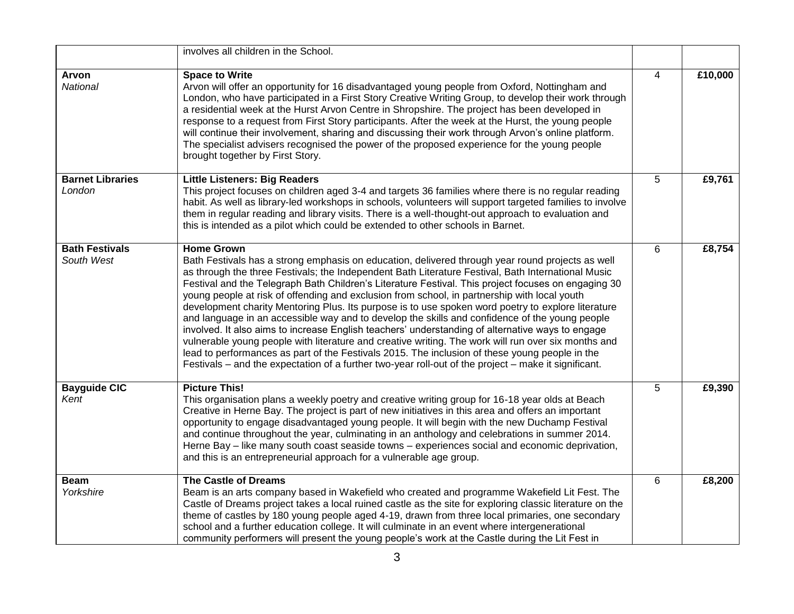|                                     | involves all children in the School.                                                                                                                                                                                                                                                                                                                                                                                                                                                                                                                                                                                                                                                                                                                                                                                                                                                                                                                                                                                                                            |   |         |
|-------------------------------------|-----------------------------------------------------------------------------------------------------------------------------------------------------------------------------------------------------------------------------------------------------------------------------------------------------------------------------------------------------------------------------------------------------------------------------------------------------------------------------------------------------------------------------------------------------------------------------------------------------------------------------------------------------------------------------------------------------------------------------------------------------------------------------------------------------------------------------------------------------------------------------------------------------------------------------------------------------------------------------------------------------------------------------------------------------------------|---|---------|
| Arvon<br>National                   | <b>Space to Write</b><br>Arvon will offer an opportunity for 16 disadvantaged young people from Oxford, Nottingham and<br>London, who have participated in a First Story Creative Writing Group, to develop their work through<br>a residential week at the Hurst Arvon Centre in Shropshire. The project has been developed in<br>response to a request from First Story participants. After the week at the Hurst, the young people<br>will continue their involvement, sharing and discussing their work through Arvon's online platform.<br>The specialist advisers recognised the power of the proposed experience for the young people<br>brought together by First Story.                                                                                                                                                                                                                                                                                                                                                                                | 4 | £10,000 |
| <b>Barnet Libraries</b><br>London   | <b>Little Listeners: Big Readers</b><br>This project focuses on children aged 3-4 and targets 36 families where there is no regular reading<br>habit. As well as library-led workshops in schools, volunteers will support targeted families to involve<br>them in regular reading and library visits. There is a well-thought-out approach to evaluation and<br>this is intended as a pilot which could be extended to other schools in Barnet.                                                                                                                                                                                                                                                                                                                                                                                                                                                                                                                                                                                                                | 5 | £9,761  |
| <b>Bath Festivals</b><br>South West | <b>Home Grown</b><br>Bath Festivals has a strong emphasis on education, delivered through year round projects as well<br>as through the three Festivals; the Independent Bath Literature Festival, Bath International Music<br>Festival and the Telegraph Bath Children's Literature Festival. This project focuses on engaging 30<br>young people at risk of offending and exclusion from school, in partnership with local youth<br>development charity Mentoring Plus. Its purpose is to use spoken word poetry to explore literature<br>and language in an accessible way and to develop the skills and confidence of the young people<br>involved. It also aims to increase English teachers' understanding of alternative ways to engage<br>vulnerable young people with literature and creative writing. The work will run over six months and<br>lead to performances as part of the Festivals 2015. The inclusion of these young people in the<br>Festivals – and the expectation of a further two-year roll-out of the project – make it significant. | 6 | £8,754  |
| <b>Bayguide CIC</b><br>Kent         | <b>Picture This!</b><br>This organisation plans a weekly poetry and creative writing group for 16-18 year olds at Beach<br>Creative in Herne Bay. The project is part of new initiatives in this area and offers an important<br>opportunity to engage disadvantaged young people. It will begin with the new Duchamp Festival<br>and continue throughout the year, culminating in an anthology and celebrations in summer 2014.<br>Herne Bay - like many south coast seaside towns - experiences social and economic deprivation,<br>and this is an entrepreneurial approach for a vulnerable age group.                                                                                                                                                                                                                                                                                                                                                                                                                                                       | 5 | £9,390  |
| <b>Beam</b><br>Yorkshire            | <b>The Castle of Dreams</b><br>Beam is an arts company based in Wakefield who created and programme Wakefield Lit Fest. The<br>Castle of Dreams project takes a local ruined castle as the site for exploring classic literature on the<br>theme of castles by 180 young people aged 4-19, drawn from three local primaries, one secondary<br>school and a further education college. It will culminate in an event where intergenerational<br>community performers will present the young people's work at the Castle during the Lit Fest in                                                                                                                                                                                                                                                                                                                                                                                                                                                                                                                   | 6 | £8,200  |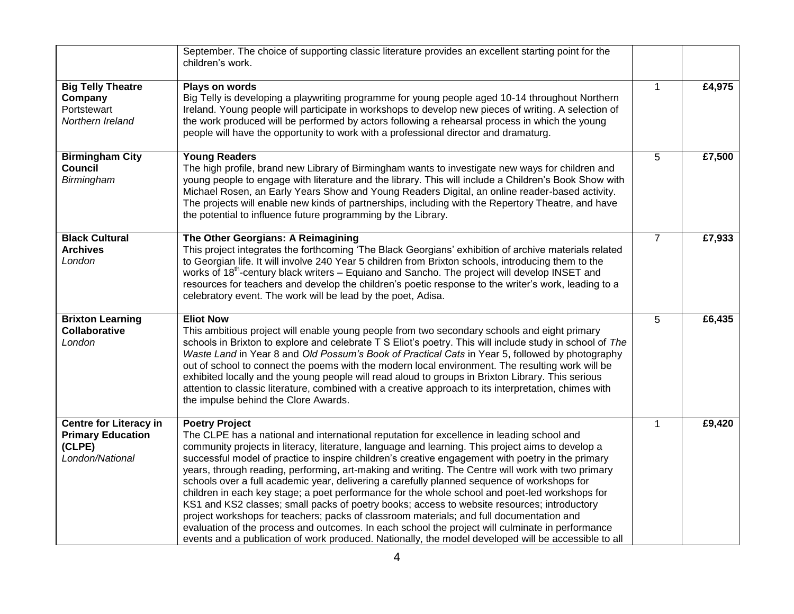|                                                                                        | September. The choice of supporting classic literature provides an excellent starting point for the<br>children's work.                                                                                                                                                                                                                                                                                                                                                                                                                                                                                                                                                                                                                                                                                                                                                                                                                                                                                                                   |                |        |
|----------------------------------------------------------------------------------------|-------------------------------------------------------------------------------------------------------------------------------------------------------------------------------------------------------------------------------------------------------------------------------------------------------------------------------------------------------------------------------------------------------------------------------------------------------------------------------------------------------------------------------------------------------------------------------------------------------------------------------------------------------------------------------------------------------------------------------------------------------------------------------------------------------------------------------------------------------------------------------------------------------------------------------------------------------------------------------------------------------------------------------------------|----------------|--------|
| <b>Big Telly Theatre</b><br>Company<br>Portstewart<br>Northern Ireland                 | Plays on words<br>Big Telly is developing a playwriting programme for young people aged 10-14 throughout Northern<br>Ireland. Young people will participate in workshops to develop new pieces of writing. A selection of<br>the work produced will be performed by actors following a rehearsal process in which the young<br>people will have the opportunity to work with a professional director and dramaturg.                                                                                                                                                                                                                                                                                                                                                                                                                                                                                                                                                                                                                       | $\mathbf{1}$   | £4,975 |
| <b>Birmingham City</b><br><b>Council</b><br>Birmingham                                 | <b>Young Readers</b><br>The high profile, brand new Library of Birmingham wants to investigate new ways for children and<br>young people to engage with literature and the library. This will include a Children's Book Show with<br>Michael Rosen, an Early Years Show and Young Readers Digital, an online reader-based activity.<br>The projects will enable new kinds of partnerships, including with the Repertory Theatre, and have<br>the potential to influence future programming by the Library.                                                                                                                                                                                                                                                                                                                                                                                                                                                                                                                                | 5              | £7,500 |
| <b>Black Cultural</b><br><b>Archives</b><br>London                                     | The Other Georgians: A Reimagining<br>This project integrates the forthcoming 'The Black Georgians' exhibition of archive materials related<br>to Georgian life. It will involve 240 Year 5 children from Brixton schools, introducing them to the<br>works of 18 <sup>th</sup> -century black writers - Equiano and Sancho. The project will develop INSET and<br>resources for teachers and develop the children's poetic response to the writer's work, leading to a<br>celebratory event. The work will be lead by the poet, Adisa.                                                                                                                                                                                                                                                                                                                                                                                                                                                                                                   | $\overline{7}$ | £7,933 |
| <b>Brixton Learning</b><br><b>Collaborative</b><br>London                              | <b>Eliot Now</b><br>This ambitious project will enable young people from two secondary schools and eight primary<br>schools in Brixton to explore and celebrate T S Eliot's poetry. This will include study in school of The<br>Waste Land in Year 8 and Old Possum's Book of Practical Cats in Year 5, followed by photography<br>out of school to connect the poems with the modern local environment. The resulting work will be<br>exhibited locally and the young people will read aloud to groups in Brixton Library. This serious<br>attention to classic literature, combined with a creative approach to its interpretation, chimes with<br>the impulse behind the Clore Awards.                                                                                                                                                                                                                                                                                                                                                 | 5              | £6,435 |
| <b>Centre for Literacy in</b><br><b>Primary Education</b><br>(CLPE)<br>London/National | <b>Poetry Project</b><br>The CLPE has a national and international reputation for excellence in leading school and<br>community projects in literacy, literature, language and learning. This project aims to develop a<br>successful model of practice to inspire children's creative engagement with poetry in the primary<br>years, through reading, performing, art-making and writing. The Centre will work with two primary<br>schools over a full academic year, delivering a carefully planned sequence of workshops for<br>children in each key stage; a poet performance for the whole school and poet-led workshops for<br>KS1 and KS2 classes; small packs of poetry books; access to website resources; introductory<br>project workshops for teachers; packs of classroom materials; and full documentation and<br>evaluation of the process and outcomes. In each school the project will culminate in performance<br>events and a publication of work produced. Nationally, the model developed will be accessible to all | $\mathbf{1}$   | £9,420 |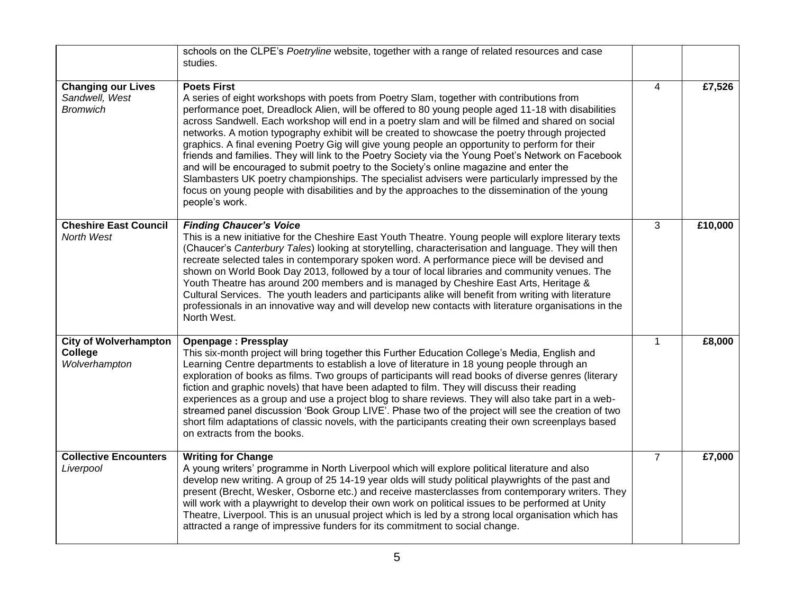|                                                                | schools on the CLPE's Poetryline website, together with a range of related resources and case<br>studies.                                                                                                                                                                                                                                                                                                                                                                                                                                                                                                                                                                                                                                                                                                                                                                                                                                               |                |         |
|----------------------------------------------------------------|---------------------------------------------------------------------------------------------------------------------------------------------------------------------------------------------------------------------------------------------------------------------------------------------------------------------------------------------------------------------------------------------------------------------------------------------------------------------------------------------------------------------------------------------------------------------------------------------------------------------------------------------------------------------------------------------------------------------------------------------------------------------------------------------------------------------------------------------------------------------------------------------------------------------------------------------------------|----------------|---------|
| <b>Changing our Lives</b><br>Sandwell, West<br><b>Bromwich</b> | <b>Poets First</b><br>A series of eight workshops with poets from Poetry Slam, together with contributions from<br>performance poet, Dreadlock Alien, will be offered to 80 young people aged 11-18 with disabilities<br>across Sandwell. Each workshop will end in a poetry slam and will be filmed and shared on social<br>networks. A motion typography exhibit will be created to showcase the poetry through projected<br>graphics. A final evening Poetry Gig will give young people an opportunity to perform for their<br>friends and families. They will link to the Poetry Society via the Young Poet's Network on Facebook<br>and will be encouraged to submit poetry to the Society's online magazine and enter the<br>Slambasters UK poetry championships. The specialist advisers were particularly impressed by the<br>focus on young people with disabilities and by the approaches to the dissemination of the young<br>people's work. | $\overline{4}$ | £7,526  |
| <b>Cheshire East Council</b><br>North West                     | <b>Finding Chaucer's Voice</b><br>This is a new initiative for the Cheshire East Youth Theatre. Young people will explore literary texts<br>(Chaucer's Canterbury Tales) looking at storytelling, characterisation and language. They will then<br>recreate selected tales in contemporary spoken word. A performance piece will be devised and<br>shown on World Book Day 2013, followed by a tour of local libraries and community venues. The<br>Youth Theatre has around 200 members and is managed by Cheshire East Arts, Heritage &<br>Cultural Services. The youth leaders and participants alike will benefit from writing with literature<br>professionals in an innovative way and will develop new contacts with literature organisations in the<br>North West.                                                                                                                                                                              | $\overline{3}$ | £10,000 |
| <b>City of Wolverhampton</b><br>College<br>Wolverhampton       | <b>Openpage: Pressplay</b><br>This six-month project will bring together this Further Education College's Media, English and<br>Learning Centre departments to establish a love of literature in 18 young people through an<br>exploration of books as films. Two groups of participants will read books of diverse genres (literary<br>fiction and graphic novels) that have been adapted to film. They will discuss their reading<br>experiences as a group and use a project blog to share reviews. They will also take part in a web-<br>streamed panel discussion 'Book Group LIVE'. Phase two of the project will see the creation of two<br>short film adaptations of classic novels, with the participants creating their own screenplays based<br>on extracts from the books.                                                                                                                                                                  | $\mathbf{1}$   | £8,000  |
| <b>Collective Encounters</b><br>Liverpool                      | <b>Writing for Change</b><br>A young writers' programme in North Liverpool which will explore political literature and also<br>develop new writing. A group of 25 14-19 year olds will study political playwrights of the past and<br>present (Brecht, Wesker, Osborne etc.) and receive masterclasses from contemporary writers. They<br>will work with a playwright to develop their own work on political issues to be performed at Unity<br>Theatre, Liverpool. This is an unusual project which is led by a strong local organisation which has<br>attracted a range of impressive funders for its commitment to social change.                                                                                                                                                                                                                                                                                                                    | $\overline{7}$ | £7,000  |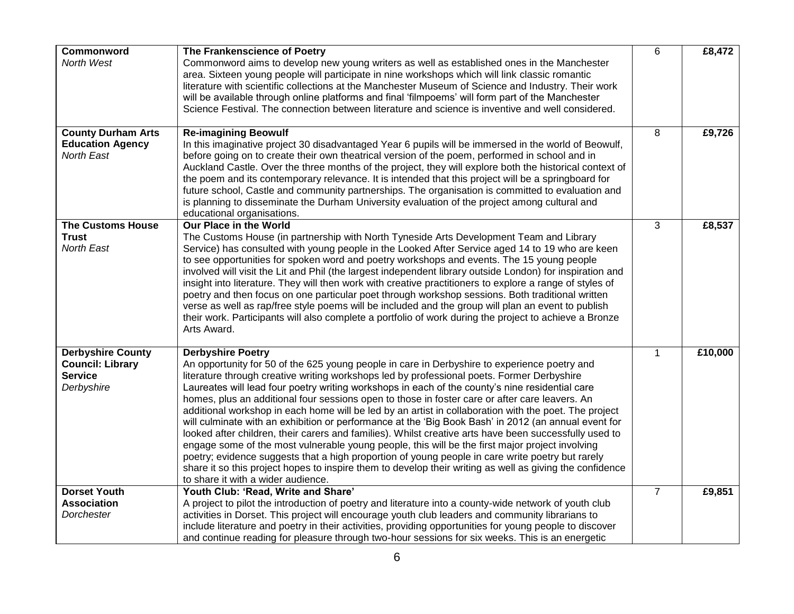| Commonword                                                                          | The Frankenscience of Poetry                                                                                                                                                                                                                                                                                                                                                                                                                                                                                                                                                                                                                                                                                                                                                                                                                                                                                                                                                                                                                                                                                    | 6              | £8,472  |
|-------------------------------------------------------------------------------------|-----------------------------------------------------------------------------------------------------------------------------------------------------------------------------------------------------------------------------------------------------------------------------------------------------------------------------------------------------------------------------------------------------------------------------------------------------------------------------------------------------------------------------------------------------------------------------------------------------------------------------------------------------------------------------------------------------------------------------------------------------------------------------------------------------------------------------------------------------------------------------------------------------------------------------------------------------------------------------------------------------------------------------------------------------------------------------------------------------------------|----------------|---------|
| North West                                                                          | Commonword aims to develop new young writers as well as established ones in the Manchester<br>area. Sixteen young people will participate in nine workshops which will link classic romantic<br>literature with scientific collections at the Manchester Museum of Science and Industry. Their work<br>will be available through online platforms and final 'filmpoems' will form part of the Manchester<br>Science Festival. The connection between literature and science is inventive and well considered.                                                                                                                                                                                                                                                                                                                                                                                                                                                                                                                                                                                                   |                |         |
| <b>County Durham Arts</b>                                                           | <b>Re-imagining Beowulf</b>                                                                                                                                                                                                                                                                                                                                                                                                                                                                                                                                                                                                                                                                                                                                                                                                                                                                                                                                                                                                                                                                                     | 8              | £9,726  |
| <b>Education Agency</b><br><b>North East</b>                                        | In this imaginative project 30 disadvantaged Year 6 pupils will be immersed in the world of Beowulf,<br>before going on to create their own theatrical version of the poem, performed in school and in<br>Auckland Castle. Over the three months of the project, they will explore both the historical context of<br>the poem and its contemporary relevance. It is intended that this project will be a springboard for<br>future school, Castle and community partnerships. The organisation is committed to evaluation and<br>is planning to disseminate the Durham University evaluation of the project among cultural and<br>educational organisations.                                                                                                                                                                                                                                                                                                                                                                                                                                                    |                |         |
| <b>The Customs House</b><br><b>Trust</b><br><b>North East</b>                       | Our Place in the World<br>The Customs House (in partnership with North Tyneside Arts Development Team and Library<br>Service) has consulted with young people in the Looked After Service aged 14 to 19 who are keen<br>to see opportunities for spoken word and poetry workshops and events. The 15 young people<br>involved will visit the Lit and Phil (the largest independent library outside London) for inspiration and<br>insight into literature. They will then work with creative practitioners to explore a range of styles of<br>poetry and then focus on one particular poet through workshop sessions. Both traditional written<br>verse as well as rap/free style poems will be included and the group will plan an event to publish<br>their work. Participants will also complete a portfolio of work during the project to achieve a Bronze<br>Arts Award.                                                                                                                                                                                                                                   | 3              | £8,537  |
| <b>Derbyshire County</b><br><b>Council: Library</b><br><b>Service</b><br>Derbyshire | <b>Derbyshire Poetry</b><br>An opportunity for 50 of the 625 young people in care in Derbyshire to experience poetry and<br>literature through creative writing workshops led by professional poets. Former Derbyshire<br>Laureates will lead four poetry writing workshops in each of the county's nine residential care<br>homes, plus an additional four sessions open to those in foster care or after care leavers. An<br>additional workshop in each home will be led by an artist in collaboration with the poet. The project<br>will culminate with an exhibition or performance at the 'Big Book Bash' in 2012 (an annual event for<br>looked after children, their carers and families). Whilst creative arts have been successfully used to<br>engage some of the most vulnerable young people, this will be the first major project involving<br>poetry; evidence suggests that a high proportion of young people in care write poetry but rarely<br>share it so this project hopes to inspire them to develop their writing as well as giving the confidence<br>to share it with a wider audience. | $\mathbf{1}$   | £10,000 |
| <b>Dorset Youth</b>                                                                 | Youth Club: 'Read, Write and Share'                                                                                                                                                                                                                                                                                                                                                                                                                                                                                                                                                                                                                                                                                                                                                                                                                                                                                                                                                                                                                                                                             | $\overline{7}$ | £9,851  |
| <b>Association</b>                                                                  | A project to pilot the introduction of poetry and literature into a county-wide network of youth club                                                                                                                                                                                                                                                                                                                                                                                                                                                                                                                                                                                                                                                                                                                                                                                                                                                                                                                                                                                                           |                |         |
| Dorchester                                                                          | activities in Dorset. This project will encourage youth club leaders and community librarians to<br>include literature and poetry in their activities, providing opportunities for young people to discover<br>and continue reading for pleasure through two-hour sessions for six weeks. This is an energetic                                                                                                                                                                                                                                                                                                                                                                                                                                                                                                                                                                                                                                                                                                                                                                                                  |                |         |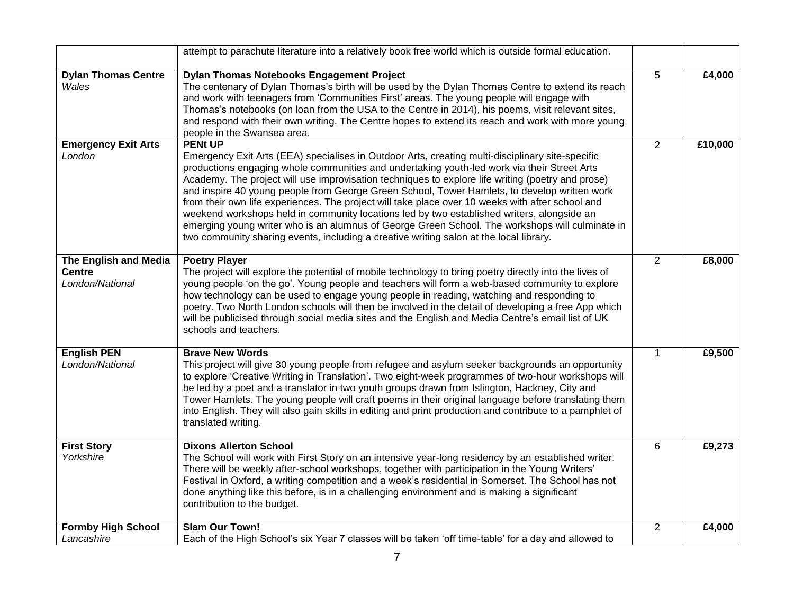|                                                           | attempt to parachute literature into a relatively book free world which is outside formal education.                                                                                                                                                                                                                                                                                                                                                                                                                                                                                                                                                                                                                                                                                                                  |                |         |
|-----------------------------------------------------------|-----------------------------------------------------------------------------------------------------------------------------------------------------------------------------------------------------------------------------------------------------------------------------------------------------------------------------------------------------------------------------------------------------------------------------------------------------------------------------------------------------------------------------------------------------------------------------------------------------------------------------------------------------------------------------------------------------------------------------------------------------------------------------------------------------------------------|----------------|---------|
| <b>Dylan Thomas Centre</b><br>Wales                       | <b>Dylan Thomas Notebooks Engagement Project</b><br>The centenary of Dylan Thomas's birth will be used by the Dylan Thomas Centre to extend its reach<br>and work with teenagers from 'Communities First' areas. The young people will engage with<br>Thomas's notebooks (on loan from the USA to the Centre in 2014), his poems, visit relevant sites,<br>and respond with their own writing. The Centre hopes to extend its reach and work with more young<br>people in the Swansea area.                                                                                                                                                                                                                                                                                                                           | 5              | £4,000  |
| <b>Emergency Exit Arts</b><br>London                      | <b>PENt UP</b><br>Emergency Exit Arts (EEA) specialises in Outdoor Arts, creating multi-disciplinary site-specific<br>productions engaging whole communities and undertaking youth-led work via their Street Arts<br>Academy. The project will use improvisation techniques to explore life writing (poetry and prose)<br>and inspire 40 young people from George Green School, Tower Hamlets, to develop written work<br>from their own life experiences. The project will take place over 10 weeks with after school and<br>weekend workshops held in community locations led by two established writers, alongside an<br>emerging young writer who is an alumnus of George Green School. The workshops will culminate in<br>two community sharing events, including a creative writing salon at the local library. | $\overline{2}$ | £10,000 |
| The English and Media<br><b>Centre</b><br>London/National | <b>Poetry Player</b><br>The project will explore the potential of mobile technology to bring poetry directly into the lives of<br>young people 'on the go'. Young people and teachers will form a web-based community to explore<br>how technology can be used to engage young people in reading, watching and responding to<br>poetry. Two North London schools will then be involved in the detail of developing a free App which<br>will be publicised through social media sites and the English and Media Centre's email list of UK<br>schools and teachers.                                                                                                                                                                                                                                                     | $\overline{2}$ | £8,000  |
| <b>English PEN</b><br>London/National                     | <b>Brave New Words</b><br>This project will give 30 young people from refugee and asylum seeker backgrounds an opportunity<br>to explore 'Creative Writing in Translation'. Two eight-week programmes of two-hour workshops will<br>be led by a poet and a translator in two youth groups drawn from Islington, Hackney, City and<br>Tower Hamlets. The young people will craft poems in their original language before translating them<br>into English. They will also gain skills in editing and print production and contribute to a pamphlet of<br>translated writing.                                                                                                                                                                                                                                           | $\mathbf{1}$   | £9,500  |
| <b>First Story</b><br>Yorkshire                           | <b>Dixons Allerton School</b><br>The School will work with First Story on an intensive year-long residency by an established writer.<br>There will be weekly after-school workshops, together with participation in the Young Writers'<br>Festival in Oxford, a writing competition and a week's residential in Somerset. The School has not<br>done anything like this before, is in a challenging environment and is making a significant<br>contribution to the budget.                                                                                                                                                                                                                                                                                                                                            | 6              | £9,273  |
| <b>Formby High School</b><br>Lancashire                   | <b>Slam Our Town!</b><br>Each of the High School's six Year 7 classes will be taken 'off time-table' for a day and allowed to                                                                                                                                                                                                                                                                                                                                                                                                                                                                                                                                                                                                                                                                                         | $\overline{2}$ | £4,000  |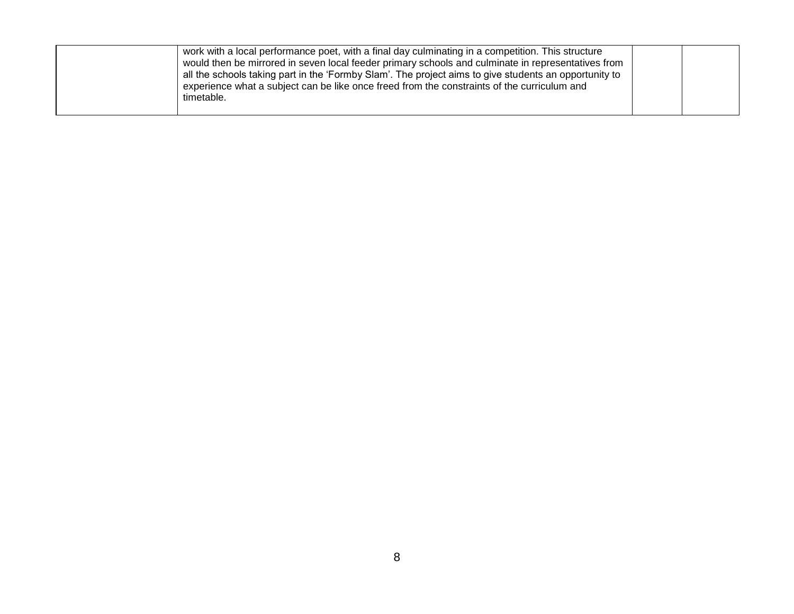|  | work with a local performance poet, with a final day culminating in a competition. This structure     |  |
|--|-------------------------------------------------------------------------------------------------------|--|
|  | would then be mirrored in seven local feeder primary schools and culminate in representatives from    |  |
|  | all the schools taking part in the 'Formby Slam'. The project aims to give students an opportunity to |  |
|  | experience what a subject can be like once freed from the constraints of the curriculum and           |  |
|  | timetable.                                                                                            |  |
|  |                                                                                                       |  |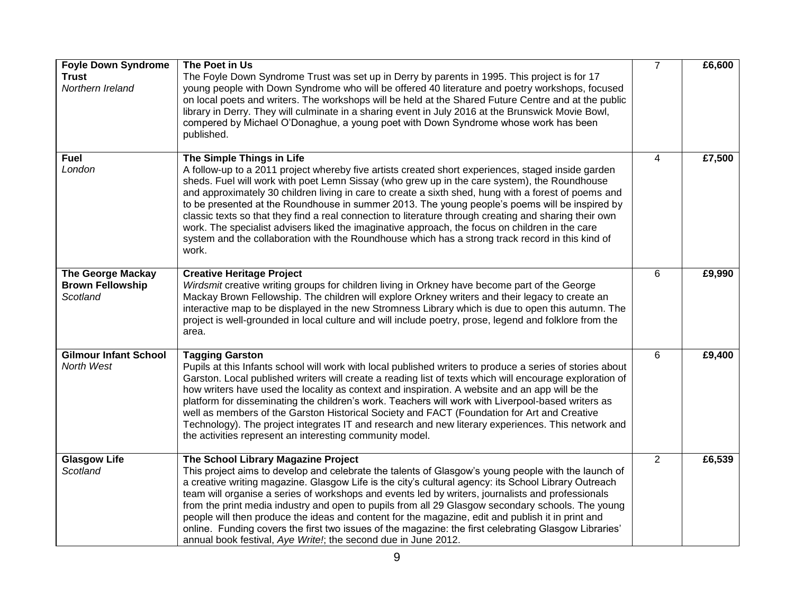| <b>Foyle Down Syndrome</b><br><b>Trust</b><br>Northern Ireland  | The Poet in Us<br>The Foyle Down Syndrome Trust was set up in Derry by parents in 1995. This project is for 17<br>young people with Down Syndrome who will be offered 40 literature and poetry workshops, focused<br>on local poets and writers. The workshops will be held at the Shared Future Centre and at the public<br>library in Derry. They will culminate in a sharing event in July 2016 at the Brunswick Movie Bowl,<br>compered by Michael O'Donaghue, a young poet with Down Syndrome whose work has been<br>published.                                                                                                                                                                                                                                | $\overline{7}$ | £6,600 |
|-----------------------------------------------------------------|---------------------------------------------------------------------------------------------------------------------------------------------------------------------------------------------------------------------------------------------------------------------------------------------------------------------------------------------------------------------------------------------------------------------------------------------------------------------------------------------------------------------------------------------------------------------------------------------------------------------------------------------------------------------------------------------------------------------------------------------------------------------|----------------|--------|
| <b>Fuel</b><br>London                                           | The Simple Things in Life<br>A follow-up to a 2011 project whereby five artists created short experiences, staged inside garden<br>sheds. Fuel will work with poet Lemn Sissay (who grew up in the care system), the Roundhouse<br>and approximately 30 children living in care to create a sixth shed, hung with a forest of poems and<br>to be presented at the Roundhouse in summer 2013. The young people's poems will be inspired by<br>classic texts so that they find a real connection to literature through creating and sharing their own<br>work. The specialist advisers liked the imaginative approach, the focus on children in the care<br>system and the collaboration with the Roundhouse which has a strong track record in this kind of<br>work. | 4              | £7,500 |
| <b>The George Mackay</b><br><b>Brown Fellowship</b><br>Scotland | <b>Creative Heritage Project</b><br>Wirdsmit creative writing groups for children living in Orkney have become part of the George<br>Mackay Brown Fellowship. The children will explore Orkney writers and their legacy to create an<br>interactive map to be displayed in the new Stromness Library which is due to open this autumn. The<br>project is well-grounded in local culture and will include poetry, prose, legend and folklore from the<br>area.                                                                                                                                                                                                                                                                                                       | 6              | £9,990 |
| <b>Gilmour Infant School</b><br>North West                      | <b>Tagging Garston</b><br>Pupils at this Infants school will work with local published writers to produce a series of stories about<br>Garston. Local published writers will create a reading list of texts which will encourage exploration of<br>how writers have used the locality as context and inspiration. A website and an app will be the<br>platform for disseminating the children's work. Teachers will work with Liverpool-based writers as<br>well as members of the Garston Historical Society and FACT (Foundation for Art and Creative<br>Technology). The project integrates IT and research and new literary experiences. This network and<br>the activities represent an interesting community model.                                           | 6              | £9,400 |
| <b>Glasgow Life</b><br>Scotland                                 | The School Library Magazine Project<br>This project aims to develop and celebrate the talents of Glasgow's young people with the launch of<br>a creative writing magazine. Glasgow Life is the city's cultural agency: its School Library Outreach<br>team will organise a series of workshops and events led by writers, journalists and professionals<br>from the print media industry and open to pupils from all 29 Glasgow secondary schools. The young<br>people will then produce the ideas and content for the magazine, edit and publish it in print and<br>online. Funding covers the first two issues of the magazine: the first celebrating Glasgow Libraries'<br>annual book festival, Aye Write!; the second due in June 2012.                        | 2              | £6,539 |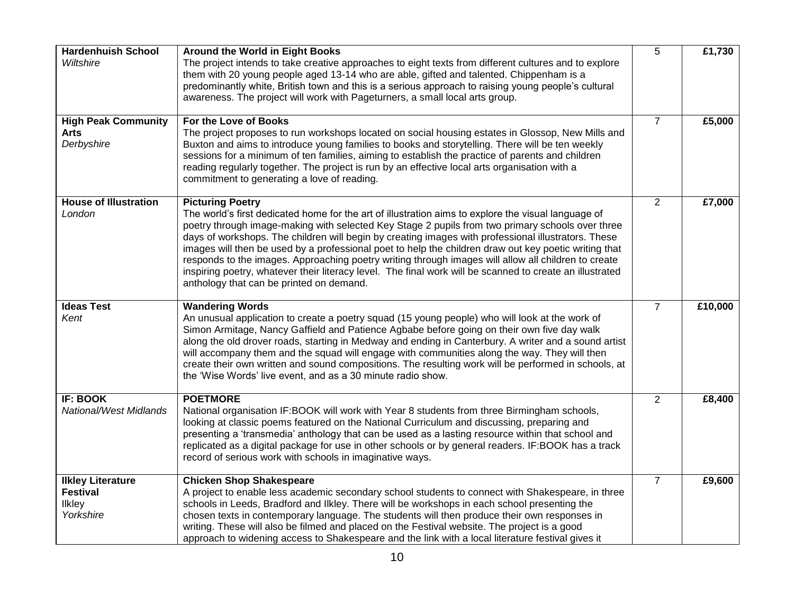| <b>Hardenhuish School</b><br>Wiltshire                             | Around the World in Eight Books<br>The project intends to take creative approaches to eight texts from different cultures and to explore<br>them with 20 young people aged 13-14 who are able, gifted and talented. Chippenham is a<br>predominantly white, British town and this is a serious approach to raising young people's cultural<br>awareness. The project will work with Pageturners, a small local arts group.                                                                                                                                                                                                                                                                                        | 5              | £1,730  |
|--------------------------------------------------------------------|-------------------------------------------------------------------------------------------------------------------------------------------------------------------------------------------------------------------------------------------------------------------------------------------------------------------------------------------------------------------------------------------------------------------------------------------------------------------------------------------------------------------------------------------------------------------------------------------------------------------------------------------------------------------------------------------------------------------|----------------|---------|
| <b>High Peak Community</b><br><b>Arts</b><br>Derbyshire            | For the Love of Books<br>The project proposes to run workshops located on social housing estates in Glossop, New Mills and<br>Buxton and aims to introduce young families to books and storytelling. There will be ten weekly<br>sessions for a minimum of ten families, aiming to establish the practice of parents and children<br>reading regularly together. The project is run by an effective local arts organisation with a<br>commitment to generating a love of reading.                                                                                                                                                                                                                                 | $\overline{7}$ | £5,000  |
| <b>House of Illustration</b><br>London                             | <b>Picturing Poetry</b><br>The world's first dedicated home for the art of illustration aims to explore the visual language of<br>poetry through image-making with selected Key Stage 2 pupils from two primary schools over three<br>days of workshops. The children will begin by creating images with professional illustrators. These<br>images will then be used by a professional poet to help the children draw out key poetic writing that<br>responds to the images. Approaching poetry writing through images will allow all children to create<br>inspiring poetry, whatever their literacy level. The final work will be scanned to create an illustrated<br>anthology that can be printed on demand. | $\overline{2}$ | £7,000  |
| <b>Ideas Test</b><br>Kent                                          | <b>Wandering Words</b><br>An unusual application to create a poetry squad (15 young people) who will look at the work of<br>Simon Armitage, Nancy Gaffield and Patience Agbabe before going on their own five day walk<br>along the old drover roads, starting in Medway and ending in Canterbury. A writer and a sound artist<br>will accompany them and the squad will engage with communities along the way. They will then<br>create their own written and sound compositions. The resulting work will be performed in schools, at<br>the 'Wise Words' live event, and as a 30 minute radio show.                                                                                                             | $\overline{7}$ | £10,000 |
| <b>IF: BOOK</b><br><b>National/West Midlands</b>                   | <b>POETMORE</b><br>National organisation IF: BOOK will work with Year 8 students from three Birmingham schools,<br>looking at classic poems featured on the National Curriculum and discussing, preparing and<br>presenting a 'transmedia' anthology that can be used as a lasting resource within that school and<br>replicated as a digital package for use in other schools or by general readers. IF:BOOK has a track<br>record of serious work with schools in imaginative ways.                                                                                                                                                                                                                             | $\overline{2}$ | £8,400  |
| <b>Ilkley Literature</b><br><b>Festival</b><br>Ilkley<br>Yorkshire | <b>Chicken Shop Shakespeare</b><br>A project to enable less academic secondary school students to connect with Shakespeare, in three<br>schools in Leeds, Bradford and Ilkley. There will be workshops in each school presenting the<br>chosen texts in contemporary language. The students will then produce their own responses in<br>writing. These will also be filmed and placed on the Festival website. The project is a good<br>approach to widening access to Shakespeare and the link with a local literature festival gives it                                                                                                                                                                         | $\overline{7}$ | £9,600  |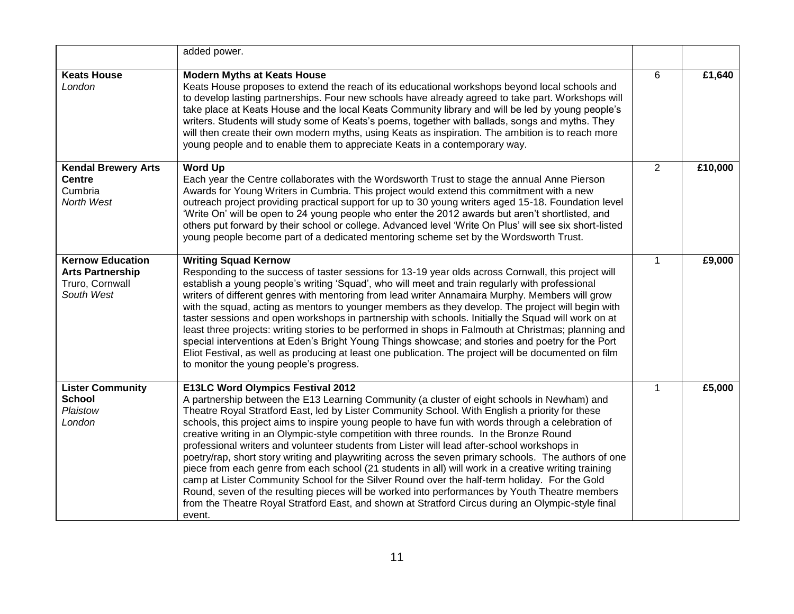|                                                                                     | added power.                                                                                                                                                                                                                                                                                                                                                                                                                                                                                                                                                                                                                                                                                                                                                                                                                                                                                                                                                                                                                                                                  |              |         |
|-------------------------------------------------------------------------------------|-------------------------------------------------------------------------------------------------------------------------------------------------------------------------------------------------------------------------------------------------------------------------------------------------------------------------------------------------------------------------------------------------------------------------------------------------------------------------------------------------------------------------------------------------------------------------------------------------------------------------------------------------------------------------------------------------------------------------------------------------------------------------------------------------------------------------------------------------------------------------------------------------------------------------------------------------------------------------------------------------------------------------------------------------------------------------------|--------------|---------|
| <b>Keats House</b><br>London                                                        | <b>Modern Myths at Keats House</b><br>Keats House proposes to extend the reach of its educational workshops beyond local schools and<br>to develop lasting partnerships. Four new schools have already agreed to take part. Workshops will<br>take place at Keats House and the local Keats Community library and will be led by young people's<br>writers. Students will study some of Keats's poems, together with ballads, songs and myths. They<br>will then create their own modern myths, using Keats as inspiration. The ambition is to reach more<br>young people and to enable them to appreciate Keats in a contemporary way.                                                                                                                                                                                                                                                                                                                                                                                                                                       | 6            | £1,640  |
| <b>Kendal Brewery Arts</b><br><b>Centre</b><br>Cumbria<br>North West                | <b>Word Up</b><br>Each year the Centre collaborates with the Wordsworth Trust to stage the annual Anne Pierson<br>Awards for Young Writers in Cumbria. This project would extend this commitment with a new<br>outreach project providing practical support for up to 30 young writers aged 15-18. Foundation level<br>'Write On' will be open to 24 young people who enter the 2012 awards but aren't shortlisted, and<br>others put forward by their school or college. Advanced level 'Write On Plus' will see six short-listed<br>young people become part of a dedicated mentoring scheme set by the Wordsworth Trust.                                                                                                                                                                                                                                                                                                                                                                                                                                                   | 2            | £10,000 |
| <b>Kernow Education</b><br><b>Arts Partnership</b><br>Truro, Cornwall<br>South West | <b>Writing Squad Kernow</b><br>Responding to the success of taster sessions for 13-19 year olds across Cornwall, this project will<br>establish a young people's writing 'Squad', who will meet and train regularly with professional<br>writers of different genres with mentoring from lead writer Annamaira Murphy. Members will grow<br>with the squad, acting as mentors to younger members as they develop. The project will begin with<br>taster sessions and open workshops in partnership with schools. Initially the Squad will work on at<br>least three projects: writing stories to be performed in shops in Falmouth at Christmas; planning and<br>special interventions at Eden's Bright Young Things showcase; and stories and poetry for the Port<br>Eliot Festival, as well as producing at least one publication. The project will be documented on film<br>to monitor the young people's progress.                                                                                                                                                        | $\mathbf{1}$ | £9,000  |
| <b>Lister Community</b><br><b>School</b><br>Plaistow<br>London                      | <b>E13LC Word Olympics Festival 2012</b><br>A partnership between the E13 Learning Community (a cluster of eight schools in Newham) and<br>Theatre Royal Stratford East, led by Lister Community School. With English a priority for these<br>schools, this project aims to inspire young people to have fun with words through a celebration of<br>creative writing in an Olympic-style competition with three rounds. In the Bronze Round<br>professional writers and volunteer students from Lister will lead after-school workshops in<br>poetry/rap, short story writing and playwriting across the seven primary schools. The authors of one<br>piece from each genre from each school (21 students in all) will work in a creative writing training<br>camp at Lister Community School for the Silver Round over the half-term holiday. For the Gold<br>Round, seven of the resulting pieces will be worked into performances by Youth Theatre members<br>from the Theatre Royal Stratford East, and shown at Stratford Circus during an Olympic-style final<br>event. | $\mathbf{1}$ | £5,000  |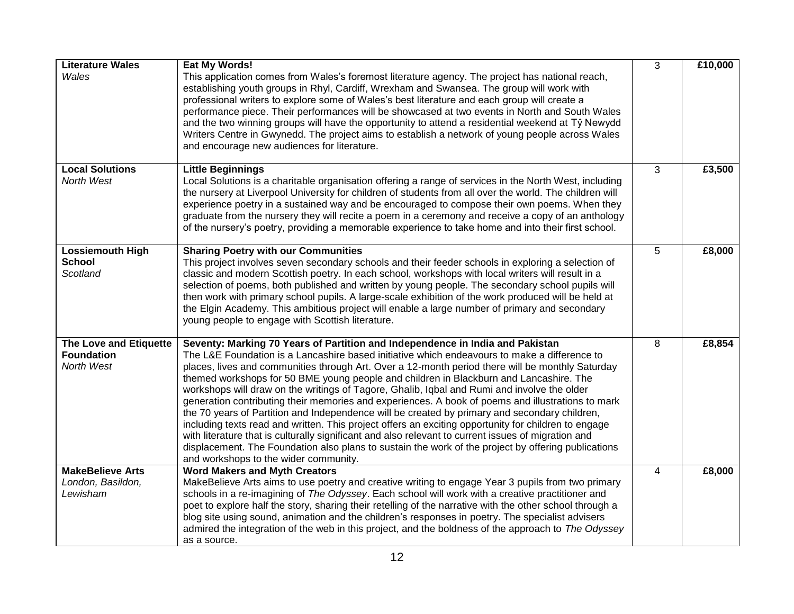| <b>Literature Wales</b><br>Wales                          | Eat My Words!<br>This application comes from Wales's foremost literature agency. The project has national reach,<br>establishing youth groups in Rhyl, Cardiff, Wrexham and Swansea. The group will work with<br>professional writers to explore some of Wales's best literature and each group will create a<br>performance piece. Their performances will be showcased at two events in North and South Wales<br>and the two winning groups will have the opportunity to attend a residential weekend at Tŷ Newydd<br>Writers Centre in Gwynedd. The project aims to establish a network of young people across Wales<br>and encourage new audiences for literature.                                                                                                                                                                                                                                                                                                                                                                          | 3              | £10,000 |
|-----------------------------------------------------------|-------------------------------------------------------------------------------------------------------------------------------------------------------------------------------------------------------------------------------------------------------------------------------------------------------------------------------------------------------------------------------------------------------------------------------------------------------------------------------------------------------------------------------------------------------------------------------------------------------------------------------------------------------------------------------------------------------------------------------------------------------------------------------------------------------------------------------------------------------------------------------------------------------------------------------------------------------------------------------------------------------------------------------------------------|----------------|---------|
| <b>Local Solutions</b><br>North West                      | <b>Little Beginnings</b><br>Local Solutions is a charitable organisation offering a range of services in the North West, including<br>the nursery at Liverpool University for children of students from all over the world. The children will<br>experience poetry in a sustained way and be encouraged to compose their own poems. When they<br>graduate from the nursery they will recite a poem in a ceremony and receive a copy of an anthology<br>of the nursery's poetry, providing a memorable experience to take home and into their first school.                                                                                                                                                                                                                                                                                                                                                                                                                                                                                      | 3              | £3,500  |
| <b>Lossiemouth High</b><br><b>School</b><br>Scotland      | <b>Sharing Poetry with our Communities</b><br>This project involves seven secondary schools and their feeder schools in exploring a selection of<br>classic and modern Scottish poetry. In each school, workshops with local writers will result in a<br>selection of poems, both published and written by young people. The secondary school pupils will<br>then work with primary school pupils. A large-scale exhibition of the work produced will be held at<br>the Elgin Academy. This ambitious project will enable a large number of primary and secondary<br>young people to engage with Scottish literature.                                                                                                                                                                                                                                                                                                                                                                                                                           | 5              | £8,000  |
| The Love and Etiquette<br><b>Foundation</b><br>North West | Seventy: Marking 70 Years of Partition and Independence in India and Pakistan<br>The L&E Foundation is a Lancashire based initiative which endeavours to make a difference to<br>places, lives and communities through Art. Over a 12-month period there will be monthly Saturday<br>themed workshops for 50 BME young people and children in Blackburn and Lancashire. The<br>workshops will draw on the writings of Tagore, Ghalib, Iqbal and Rumi and involve the older<br>generation contributing their memories and experiences. A book of poems and illustrations to mark<br>the 70 years of Partition and Independence will be created by primary and secondary children,<br>including texts read and written. This project offers an exciting opportunity for children to engage<br>with literature that is culturally significant and also relevant to current issues of migration and<br>displacement. The Foundation also plans to sustain the work of the project by offering publications<br>and workshops to the wider community. | 8              | £8,854  |
| <b>MakeBelieve Arts</b><br>London, Basildon,<br>Lewisham  | <b>Word Makers and Myth Creators</b><br>MakeBelieve Arts aims to use poetry and creative writing to engage Year 3 pupils from two primary<br>schools in a re-imagining of The Odyssey. Each school will work with a creative practitioner and<br>poet to explore half the story, sharing their retelling of the narrative with the other school through a<br>blog site using sound, animation and the children's responses in poetry. The specialist advisers<br>admired the integration of the web in this project, and the boldness of the approach to The Odyssey<br>as a source.                                                                                                                                                                                                                                                                                                                                                                                                                                                            | $\overline{4}$ | £8,000  |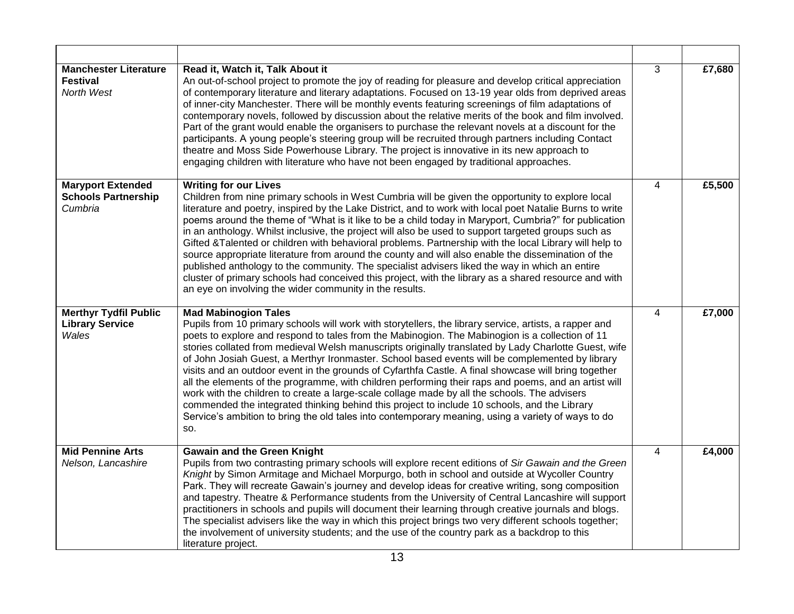| <b>Manchester Literature</b><br><b>Festival</b><br>North West     | Read it, Watch it, Talk About it<br>An out-of-school project to promote the joy of reading for pleasure and develop critical appreciation<br>of contemporary literature and literary adaptations. Focused on 13-19 year olds from deprived areas<br>of inner-city Manchester. There will be monthly events featuring screenings of film adaptations of<br>contemporary novels, followed by discussion about the relative merits of the book and film involved.<br>Part of the grant would enable the organisers to purchase the relevant novels at a discount for the<br>participants. A young people's steering group will be recruited through partners including Contact<br>theatre and Moss Side Powerhouse Library. The project is innovative in its new approach to<br>engaging children with literature who have not been engaged by traditional approaches.                                                                                                              | $\overline{3}$ | £7,680 |
|-------------------------------------------------------------------|----------------------------------------------------------------------------------------------------------------------------------------------------------------------------------------------------------------------------------------------------------------------------------------------------------------------------------------------------------------------------------------------------------------------------------------------------------------------------------------------------------------------------------------------------------------------------------------------------------------------------------------------------------------------------------------------------------------------------------------------------------------------------------------------------------------------------------------------------------------------------------------------------------------------------------------------------------------------------------|----------------|--------|
| <b>Maryport Extended</b><br><b>Schools Partnership</b><br>Cumbria | <b>Writing for our Lives</b><br>Children from nine primary schools in West Cumbria will be given the opportunity to explore local<br>literature and poetry, inspired by the Lake District, and to work with local poet Natalie Burns to write<br>poems around the theme of "What is it like to be a child today in Maryport, Cumbria?" for publication<br>in an anthology. Whilst inclusive, the project will also be used to support targeted groups such as<br>Gifted &Talented or children with behavioral problems. Partnership with the local Library will help to<br>source appropriate literature from around the county and will also enable the dissemination of the<br>published anthology to the community. The specialist advisers liked the way in which an entire<br>cluster of primary schools had conceived this project, with the library as a shared resource and with<br>an eye on involving the wider community in the results.                              | 4              | £5,500 |
| <b>Merthyr Tydfil Public</b><br><b>Library Service</b><br>Wales   | <b>Mad Mabinogion Tales</b><br>Pupils from 10 primary schools will work with storytellers, the library service, artists, a rapper and<br>poets to explore and respond to tales from the Mabinogion. The Mabinogion is a collection of 11<br>stories collated from medieval Welsh manuscripts originally translated by Lady Charlotte Guest, wife<br>of John Josiah Guest, a Merthyr Ironmaster. School based events will be complemented by library<br>visits and an outdoor event in the grounds of Cyfarthfa Castle. A final showcase will bring together<br>all the elements of the programme, with children performing their raps and poems, and an artist will<br>work with the children to create a large-scale collage made by all the schools. The advisers<br>commended the integrated thinking behind this project to include 10 schools, and the Library<br>Service's ambition to bring the old tales into contemporary meaning, using a variety of ways to do<br>SO. | $\overline{4}$ | £7,000 |
| <b>Mid Pennine Arts</b><br>Nelson, Lancashire                     | <b>Gawain and the Green Knight</b><br>Pupils from two contrasting primary schools will explore recent editions of Sir Gawain and the Green<br>Knight by Simon Armitage and Michael Morpurgo, both in school and outside at Wycoller Country<br>Park. They will recreate Gawain's journey and develop ideas for creative writing, song composition<br>and tapestry. Theatre & Performance students from the University of Central Lancashire will support<br>practitioners in schools and pupils will document their learning through creative journals and blogs.<br>The specialist advisers like the way in which this project brings two very different schools together;<br>the involvement of university students; and the use of the country park as a backdrop to this<br>literature project.                                                                                                                                                                              | $\overline{4}$ | £4,000 |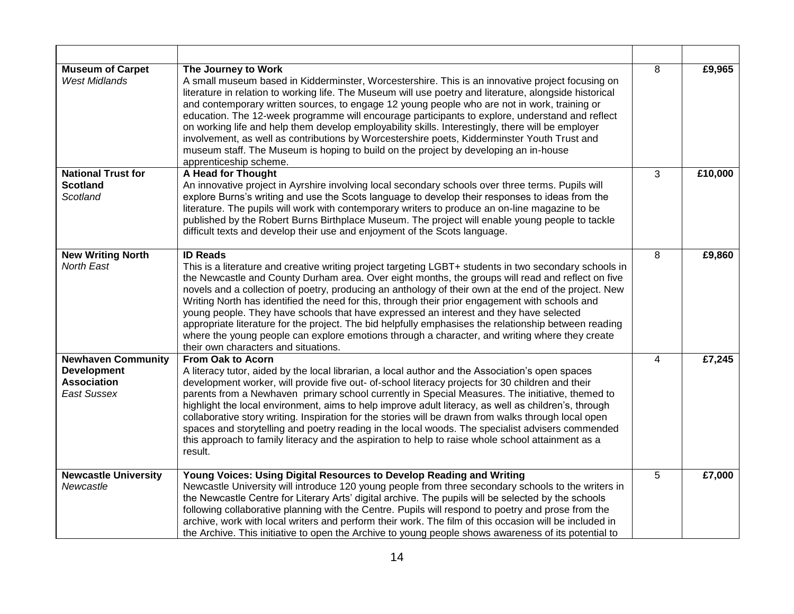| <b>Museum of Carpet</b><br><b>West Midlands</b> | The Journey to Work<br>A small museum based in Kidderminster, Worcestershire. This is an innovative project focusing on<br>literature in relation to working life. The Museum will use poetry and literature, alongside historical<br>and contemporary written sources, to engage 12 young people who are not in work, training or<br>education. The 12-week programme will encourage participants to explore, understand and reflect<br>on working life and help them develop employability skills. Interestingly, there will be employer<br>involvement, as well as contributions by Worcestershire poets, Kidderminster Youth Trust and<br>museum staff. The Museum is hoping to build on the project by developing an in-house<br>apprenticeship scheme.         | 8 | £9,965  |
|-------------------------------------------------|----------------------------------------------------------------------------------------------------------------------------------------------------------------------------------------------------------------------------------------------------------------------------------------------------------------------------------------------------------------------------------------------------------------------------------------------------------------------------------------------------------------------------------------------------------------------------------------------------------------------------------------------------------------------------------------------------------------------------------------------------------------------|---|---------|
| <b>National Trust for</b><br><b>Scotland</b>    | A Head for Thought<br>An innovative project in Ayrshire involving local secondary schools over three terms. Pupils will                                                                                                                                                                                                                                                                                                                                                                                                                                                                                                                                                                                                                                              | 3 | £10,000 |
| Scotland                                        | explore Burns's writing and use the Scots language to develop their responses to ideas from the<br>literature. The pupils will work with contemporary writers to produce an on-line magazine to be<br>published by the Robert Burns Birthplace Museum. The project will enable young people to tackle<br>difficult texts and develop their use and enjoyment of the Scots language.                                                                                                                                                                                                                                                                                                                                                                                  |   |         |
| <b>New Writing North</b>                        | <b>ID Reads</b>                                                                                                                                                                                                                                                                                                                                                                                                                                                                                                                                                                                                                                                                                                                                                      | 8 | £9,860  |
| North East                                      | This is a literature and creative writing project targeting LGBT+ students in two secondary schools in<br>the Newcastle and County Durham area. Over eight months, the groups will read and reflect on five<br>novels and a collection of poetry, producing an anthology of their own at the end of the project. New<br>Writing North has identified the need for this, through their prior engagement with schools and<br>young people. They have schools that have expressed an interest and they have selected<br>appropriate literature for the project. The bid helpfully emphasises the relationship between reading<br>where the young people can explore emotions through a character, and writing where they create<br>their own characters and situations. |   |         |
| <b>Newhaven Community</b><br><b>Development</b> | From Oak to Acorn<br>A literacy tutor, aided by the local librarian, a local author and the Association's open spaces                                                                                                                                                                                                                                                                                                                                                                                                                                                                                                                                                                                                                                                | 4 | £7,245  |
| <b>Association</b><br><b>East Sussex</b>        | development worker, will provide five out- of-school literacy projects for 30 children and their<br>parents from a Newhaven primary school currently in Special Measures. The initiative, themed to<br>highlight the local environment, aims to help improve adult literacy, as well as children's, through<br>collaborative story writing. Inspiration for the stories will be drawn from walks through local open<br>spaces and storytelling and poetry reading in the local woods. The specialist advisers commended<br>this approach to family literacy and the aspiration to help to raise whole school attainment as a<br>result.                                                                                                                              |   |         |
| <b>Newcastle University</b><br>Newcastle        | Young Voices: Using Digital Resources to Develop Reading and Writing<br>Newcastle University will introduce 120 young people from three secondary schools to the writers in                                                                                                                                                                                                                                                                                                                                                                                                                                                                                                                                                                                          | 5 | £7,000  |
|                                                 | the Newcastle Centre for Literary Arts' digital archive. The pupils will be selected by the schools<br>following collaborative planning with the Centre. Pupils will respond to poetry and prose from the<br>archive, work with local writers and perform their work. The film of this occasion will be included in<br>the Archive. This initiative to open the Archive to young people shows awareness of its potential to                                                                                                                                                                                                                                                                                                                                          |   |         |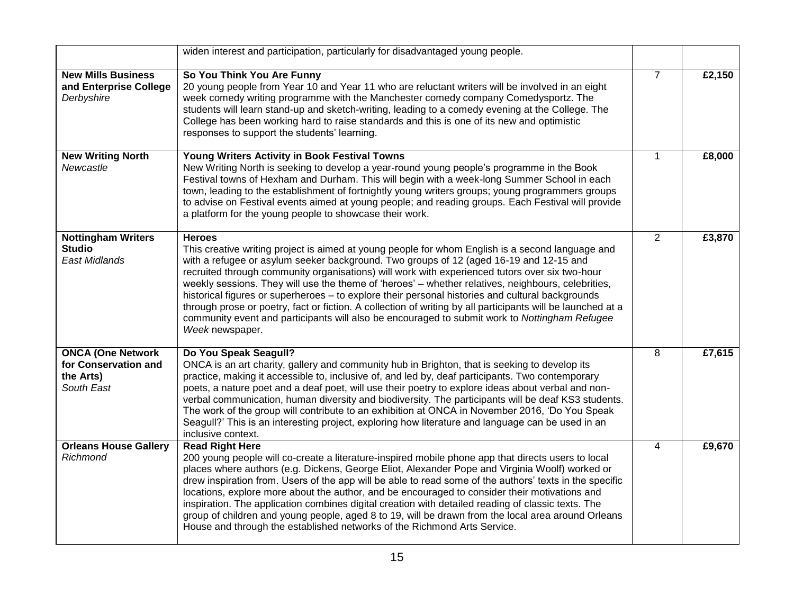|                                                                             | widen interest and participation, particularly for disadvantaged young people.                                                                                                                                                                                                                                                                                                                                                                                                                                                                                                                                                                                                                                                                             |                |        |
|-----------------------------------------------------------------------------|------------------------------------------------------------------------------------------------------------------------------------------------------------------------------------------------------------------------------------------------------------------------------------------------------------------------------------------------------------------------------------------------------------------------------------------------------------------------------------------------------------------------------------------------------------------------------------------------------------------------------------------------------------------------------------------------------------------------------------------------------------|----------------|--------|
| <b>New Mills Business</b><br>and Enterprise College<br>Derbyshire           | So You Think You Are Funny<br>20 young people from Year 10 and Year 11 who are reluctant writers will be involved in an eight<br>week comedy writing programme with the Manchester comedy company Comedysportz. The<br>students will learn stand-up and sketch-writing, leading to a comedy evening at the College. The<br>College has been working hard to raise standards and this is one of its new and optimistic<br>responses to support the students' learning.                                                                                                                                                                                                                                                                                      | $\overline{7}$ | £2,150 |
| <b>New Writing North</b><br>Newcastle                                       | <b>Young Writers Activity in Book Festival Towns</b><br>New Writing North is seeking to develop a year-round young people's programme in the Book<br>Festival towns of Hexham and Durham. This will begin with a week-long Summer School in each<br>town, leading to the establishment of fortnightly young writers groups; young programmers groups<br>to advise on Festival events aimed at young people; and reading groups. Each Festival will provide<br>a platform for the young people to showcase their work.                                                                                                                                                                                                                                      | $\mathbf{1}$   | £8,000 |
| <b>Nottingham Writers</b><br><b>Studio</b><br><b>East Midlands</b>          | <b>Heroes</b><br>This creative writing project is aimed at young people for whom English is a second language and<br>with a refugee or asylum seeker background. Two groups of 12 (aged 16-19 and 12-15 and<br>recruited through community organisations) will work with experienced tutors over six two-hour<br>weekly sessions. They will use the theme of 'heroes' - whether relatives, neighbours, celebrities,<br>historical figures or superheroes - to explore their personal histories and cultural backgrounds<br>through prose or poetry, fact or fiction. A collection of writing by all participants will be launched at a<br>community event and participants will also be encouraged to submit work to Nottingham Refugee<br>Week newspaper. | $\overline{2}$ | £3,870 |
| <b>ONCA (One Network</b><br>for Conservation and<br>the Arts)<br>South East | Do You Speak Seagull?<br>ONCA is an art charity, gallery and community hub in Brighton, that is seeking to develop its<br>practice, making it accessible to, inclusive of, and led by, deaf participants. Two contemporary<br>poets, a nature poet and a deaf poet, will use their poetry to explore ideas about verbal and non-<br>verbal communication, human diversity and biodiversity. The participants will be deaf KS3 students.<br>The work of the group will contribute to an exhibition at ONCA in November 2016, 'Do You Speak<br>Seagull?' This is an interesting project, exploring how literature and language can be used in an<br>inclusive context.                                                                                       | 8              | £7,615 |
| <b>Orleans House Gallery</b><br>Richmond                                    | <b>Read Right Here</b><br>200 young people will co-create a literature-inspired mobile phone app that directs users to local<br>places where authors (e.g. Dickens, George Eliot, Alexander Pope and Virginia Woolf) worked or<br>drew inspiration from. Users of the app will be able to read some of the authors' texts in the specific<br>locations, explore more about the author, and be encouraged to consider their motivations and<br>inspiration. The application combines digital creation with detailed reading of classic texts. The<br>group of children and young people, aged 8 to 19, will be drawn from the local area around Orleans<br>House and through the established networks of the Richmond Arts Service.                         | 4              | £9,670 |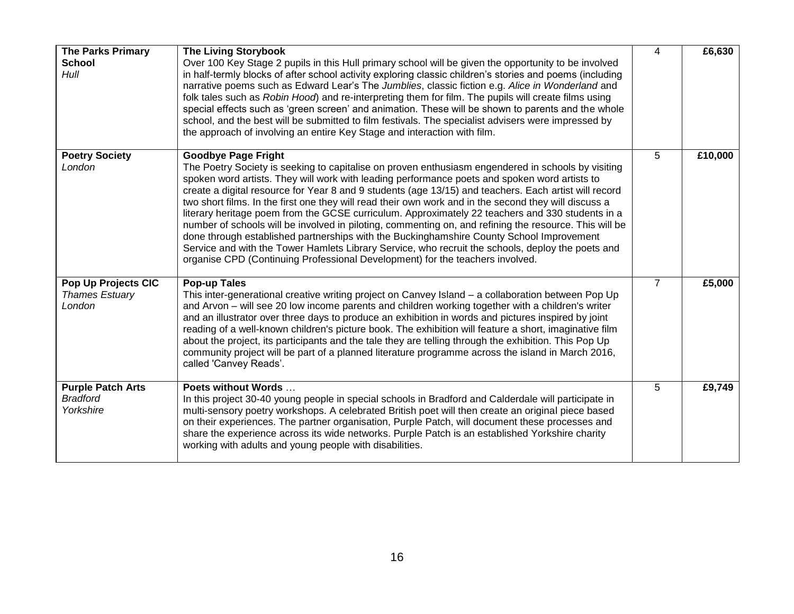| <b>The Parks Primary</b><br><b>School</b><br>Hull        | <b>The Living Storybook</b><br>Over 100 Key Stage 2 pupils in this Hull primary school will be given the opportunity to be involved<br>in half-termly blocks of after school activity exploring classic children's stories and poems (including<br>narrative poems such as Edward Lear's The Jumblies, classic fiction e.g. Alice in Wonderland and<br>folk tales such as Robin Hood) and re-interpreting them for film. The pupils will create films using<br>special effects such as 'green screen' and animation. These will be shown to parents and the whole<br>school, and the best will be submitted to film festivals. The specialist advisers were impressed by<br>the approach of involving an entire Key Stage and interaction with film.                                                                                                                                                                                                | 4              | £6,630  |
|----------------------------------------------------------|-----------------------------------------------------------------------------------------------------------------------------------------------------------------------------------------------------------------------------------------------------------------------------------------------------------------------------------------------------------------------------------------------------------------------------------------------------------------------------------------------------------------------------------------------------------------------------------------------------------------------------------------------------------------------------------------------------------------------------------------------------------------------------------------------------------------------------------------------------------------------------------------------------------------------------------------------------|----------------|---------|
| <b>Poetry Society</b><br>London                          | <b>Goodbye Page Fright</b><br>The Poetry Society is seeking to capitalise on proven enthusiasm engendered in schools by visiting<br>spoken word artists. They will work with leading performance poets and spoken word artists to<br>create a digital resource for Year 8 and 9 students (age 13/15) and teachers. Each artist will record<br>two short films. In the first one they will read their own work and in the second they will discuss a<br>literary heritage poem from the GCSE curriculum. Approximately 22 teachers and 330 students in a<br>number of schools will be involved in piloting, commenting on, and refining the resource. This will be<br>done through established partnerships with the Buckinghamshire County School Improvement<br>Service and with the Tower Hamlets Library Service, who recruit the schools, deploy the poets and<br>organise CPD (Continuing Professional Development) for the teachers involved. | 5              | £10,000 |
| Pop Up Projects CIC<br><b>Thames Estuary</b><br>London   | <b>Pop-up Tales</b><br>This inter-generational creative writing project on Canvey Island - a collaboration between Pop Up<br>and Arvon - will see 20 low income parents and children working together with a children's writer<br>and an illustrator over three days to produce an exhibition in words and pictures inspired by joint<br>reading of a well-known children's picture book. The exhibition will feature a short, imaginative film<br>about the project, its participants and the tale they are telling through the exhibition. This Pop Up<br>community project will be part of a planned literature programme across the island in March 2016,<br>called 'Canvey Reads'.                                                                                                                                                                                                                                                             | $\overline{7}$ | £5,000  |
| <b>Purple Patch Arts</b><br><b>Bradford</b><br>Yorkshire | Poets without Words<br>In this project 30-40 young people in special schools in Bradford and Calderdale will participate in<br>multi-sensory poetry workshops. A celebrated British poet will then create an original piece based<br>on their experiences. The partner organisation, Purple Patch, will document these processes and<br>share the experience across its wide networks. Purple Patch is an established Yorkshire charity<br>working with adults and young people with disabilities.                                                                                                                                                                                                                                                                                                                                                                                                                                                  | 5              | £9,749  |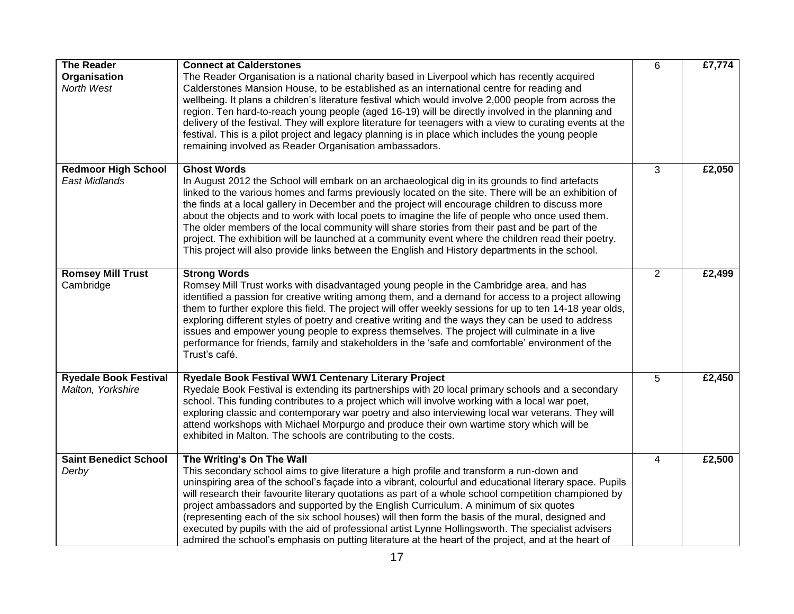| <b>The Reader</b><br>Organisation<br>North West    | <b>Connect at Calderstones</b><br>The Reader Organisation is a national charity based in Liverpool which has recently acquired<br>Calderstones Mansion House, to be established as an international centre for reading and<br>wellbeing. It plans a children's literature festival which would involve 2,000 people from across the<br>region. Ten hard-to-reach young people (aged 16-19) will be directly involved in the planning and<br>delivery of the festival. They will explore literature for teenagers with a view to curating events at the<br>festival. This is a pilot project and legacy planning is in place which includes the young people<br>remaining involved as Reader Organisation ambassadors.                                  | 6              | £7,774 |
|----------------------------------------------------|--------------------------------------------------------------------------------------------------------------------------------------------------------------------------------------------------------------------------------------------------------------------------------------------------------------------------------------------------------------------------------------------------------------------------------------------------------------------------------------------------------------------------------------------------------------------------------------------------------------------------------------------------------------------------------------------------------------------------------------------------------|----------------|--------|
| <b>Redmoor High School</b><br><b>East Midlands</b> | <b>Ghost Words</b><br>In August 2012 the School will embark on an archaeological dig in its grounds to find artefacts<br>linked to the various homes and farms previously located on the site. There will be an exhibition of<br>the finds at a local gallery in December and the project will encourage children to discuss more<br>about the objects and to work with local poets to imagine the life of people who once used them.<br>The older members of the local community will share stories from their past and be part of the<br>project. The exhibition will be launched at a community event where the children read their poetry.<br>This project will also provide links between the English and History departments in the school.      | 3              | £2,050 |
| <b>Romsey Mill Trust</b><br>Cambridge              | <b>Strong Words</b><br>Romsey Mill Trust works with disadvantaged young people in the Cambridge area, and has<br>identified a passion for creative writing among them, and a demand for access to a project allowing<br>them to further explore this field. The project will offer weekly sessions for up to ten 14-18 year olds,<br>exploring different styles of poetry and creative writing and the ways they can be used to address<br>issues and empower young people to express themselves. The project will culminate in a live<br>performance for friends, family and stakeholders in the 'safe and comfortable' environment of the<br>Trust's café.                                                                                           | 2              | £2,499 |
| <b>Ryedale Book Festival</b><br>Malton, Yorkshire  | Ryedale Book Festival WW1 Centenary Literary Project<br>Ryedale Book Festival is extending its partnerships with 20 local primary schools and a secondary<br>school. This funding contributes to a project which will involve working with a local war poet,<br>exploring classic and contemporary war poetry and also interviewing local war veterans. They will<br>attend workshops with Michael Morpurgo and produce their own wartime story which will be<br>exhibited in Malton. The schools are contributing to the costs.                                                                                                                                                                                                                       | 5              | £2,450 |
| <b>Saint Benedict School</b><br>Derby              | The Writing's On The Wall<br>This secondary school aims to give literature a high profile and transform a run-down and<br>uninspiring area of the school's façade into a vibrant, colourful and educational literary space. Pupils<br>will research their favourite literary quotations as part of a whole school competition championed by<br>project ambassadors and supported by the English Curriculum. A minimum of six quotes<br>(representing each of the six school houses) will then form the basis of the mural, designed and<br>executed by pupils with the aid of professional artist Lynne Hollingsworth. The specialist advisers<br>admired the school's emphasis on putting literature at the heart of the project, and at the heart of | $\overline{4}$ | £2,500 |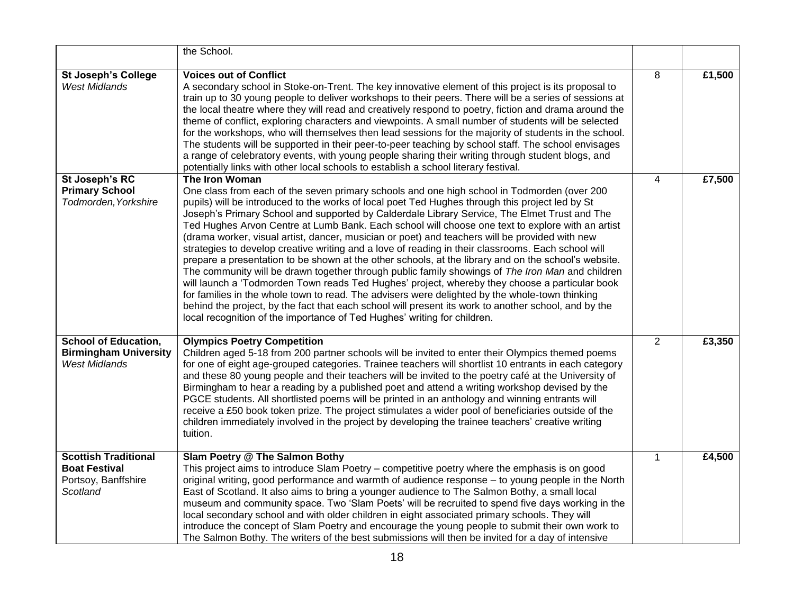|                                                                                        | the School.                                                                                                                                                                                                                                                                                                                                                                                                                                                                                                                                                                                                                                                                                                                                                                                                                                                                                                                                                                                                                                                                                                                                                                                                                      |                |        |
|----------------------------------------------------------------------------------------|----------------------------------------------------------------------------------------------------------------------------------------------------------------------------------------------------------------------------------------------------------------------------------------------------------------------------------------------------------------------------------------------------------------------------------------------------------------------------------------------------------------------------------------------------------------------------------------------------------------------------------------------------------------------------------------------------------------------------------------------------------------------------------------------------------------------------------------------------------------------------------------------------------------------------------------------------------------------------------------------------------------------------------------------------------------------------------------------------------------------------------------------------------------------------------------------------------------------------------|----------------|--------|
| <b>St Joseph's College</b><br><b>West Midlands</b>                                     | <b>Voices out of Conflict</b><br>A secondary school in Stoke-on-Trent. The key innovative element of this project is its proposal to<br>train up to 30 young people to deliver workshops to their peers. There will be a series of sessions at<br>the local theatre where they will read and creatively respond to poetry, fiction and drama around the<br>theme of conflict, exploring characters and viewpoints. A small number of students will be selected<br>for the workshops, who will themselves then lead sessions for the majority of students in the school.<br>The students will be supported in their peer-to-peer teaching by school staff. The school envisages<br>a range of celebratory events, with young people sharing their writing through student blogs, and<br>potentially links with other local schools to establish a school literary festival.                                                                                                                                                                                                                                                                                                                                                       | 8              | £1,500 |
| St Joseph's RC<br><b>Primary School</b><br>Todmorden, Yorkshire                        | The Iron Woman<br>One class from each of the seven primary schools and one high school in Todmorden (over 200<br>pupils) will be introduced to the works of local poet Ted Hughes through this project led by St<br>Joseph's Primary School and supported by Calderdale Library Service, The Elmet Trust and The<br>Ted Hughes Arvon Centre at Lumb Bank. Each school will choose one text to explore with an artist<br>(drama worker, visual artist, dancer, musician or poet) and teachers will be provided with new<br>strategies to develop creative writing and a love of reading in their classrooms. Each school will<br>prepare a presentation to be shown at the other schools, at the library and on the school's website.<br>The community will be drawn together through public family showings of The Iron Man and children<br>will launch a 'Todmorden Town reads Ted Hughes' project, whereby they choose a particular book<br>for families in the whole town to read. The advisers were delighted by the whole-town thinking<br>behind the project, by the fact that each school will present its work to another school, and by the<br>local recognition of the importance of Ted Hughes' writing for children. | 4              | £7,500 |
| <b>School of Education,</b><br><b>Birmingham University</b><br><b>West Midlands</b>    | <b>Olympics Poetry Competition</b><br>Children aged 5-18 from 200 partner schools will be invited to enter their Olympics themed poems<br>for one of eight age-grouped categories. Trainee teachers will shortlist 10 entrants in each category<br>and these 80 young people and their teachers will be invited to the poetry café at the University of<br>Birmingham to hear a reading by a published poet and attend a writing workshop devised by the<br>PGCE students. All shortlisted poems will be printed in an anthology and winning entrants will<br>receive a £50 book token prize. The project stimulates a wider pool of beneficiaries outside of the<br>children immediately involved in the project by developing the trainee teachers' creative writing<br>tuition.                                                                                                                                                                                                                                                                                                                                                                                                                                               | $\overline{2}$ | £3,350 |
| <b>Scottish Traditional</b><br><b>Boat Festival</b><br>Portsoy, Banffshire<br>Scotland | Slam Poetry @ The Salmon Bothy<br>This project aims to introduce Slam Poetry – competitive poetry where the emphasis is on good<br>original writing, good performance and warmth of audience response - to young people in the North<br>East of Scotland. It also aims to bring a younger audience to The Salmon Bothy, a small local<br>museum and community space. Two 'Slam Poets' will be recruited to spend five days working in the<br>local secondary school and with older children in eight associated primary schools. They will<br>introduce the concept of Slam Poetry and encourage the young people to submit their own work to<br>The Salmon Bothy. The writers of the best submissions will then be invited for a day of intensive                                                                                                                                                                                                                                                                                                                                                                                                                                                                               | $\mathbf{1}$   | £4,500 |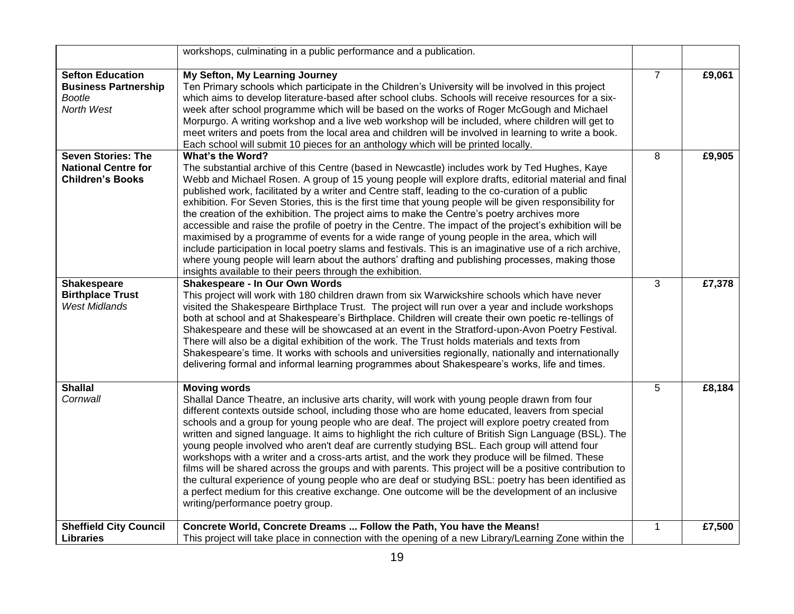|                                                                                       | workshops, culminating in a public performance and a publication.                                                                                                                                                                                                                                                                                                                                                                                                                                                                                                                                                                                                                                                                                                                                                                                                                                                                                                                                                                      |                |        |
|---------------------------------------------------------------------------------------|----------------------------------------------------------------------------------------------------------------------------------------------------------------------------------------------------------------------------------------------------------------------------------------------------------------------------------------------------------------------------------------------------------------------------------------------------------------------------------------------------------------------------------------------------------------------------------------------------------------------------------------------------------------------------------------------------------------------------------------------------------------------------------------------------------------------------------------------------------------------------------------------------------------------------------------------------------------------------------------------------------------------------------------|----------------|--------|
| <b>Sefton Education</b><br><b>Business Partnership</b><br><b>Bootle</b><br>North West | My Sefton, My Learning Journey<br>Ten Primary schools which participate in the Children's University will be involved in this project<br>which aims to develop literature-based after school clubs. Schools will receive resources for a six-<br>week after school programme which will be based on the works of Roger McGough and Michael<br>Morpurgo. A writing workshop and a live web workshop will be included, where children will get to<br>meet writers and poets from the local area and children will be involved in learning to write a book.<br>Each school will submit 10 pieces for an anthology which will be printed locally.                                                                                                                                                                                                                                                                                                                                                                                          | $\overline{7}$ | £9,061 |
| <b>Seven Stories: The</b><br><b>National Centre for</b><br><b>Children's Books</b>    | <b>What's the Word?</b><br>The substantial archive of this Centre (based in Newcastle) includes work by Ted Hughes, Kaye<br>Webb and Michael Rosen. A group of 15 young people will explore drafts, editorial material and final<br>published work, facilitated by a writer and Centre staff, leading to the co-curation of a public<br>exhibition. For Seven Stories, this is the first time that young people will be given responsibility for<br>the creation of the exhibition. The project aims to make the Centre's poetry archives more<br>accessible and raise the profile of poetry in the Centre. The impact of the project's exhibition will be<br>maximised by a programme of events for a wide range of young people in the area, which will<br>include participation in local poetry slams and festivals. This is an imaginative use of a rich archive,<br>where young people will learn about the authors' drafting and publishing processes, making those<br>insights available to their peers through the exhibition. | 8              | £9,905 |
| <b>Shakespeare</b><br><b>Birthplace Trust</b><br><b>West Midlands</b>                 | Shakespeare - In Our Own Words<br>This project will work with 180 children drawn from six Warwickshire schools which have never<br>visited the Shakespeare Birthplace Trust. The project will run over a year and include workshops<br>both at school and at Shakespeare's Birthplace. Children will create their own poetic re-tellings of<br>Shakespeare and these will be showcased at an event in the Stratford-upon-Avon Poetry Festival.<br>There will also be a digital exhibition of the work. The Trust holds materials and texts from<br>Shakespeare's time. It works with schools and universities regionally, nationally and internationally<br>delivering formal and informal learning programmes about Shakespeare's works, life and times.                                                                                                                                                                                                                                                                              | 3              | £7,378 |
| <b>Shallal</b><br>Cornwall                                                            | <b>Moving words</b><br>Shallal Dance Theatre, an inclusive arts charity, will work with young people drawn from four<br>different contexts outside school, including those who are home educated, leavers from special<br>schools and a group for young people who are deaf. The project will explore poetry created from<br>written and signed language. It aims to highlight the rich culture of British Sign Language (BSL). The<br>young people involved who aren't deaf are currently studying BSL. Each group will attend four<br>workshops with a writer and a cross-arts artist, and the work they produce will be filmed. These<br>films will be shared across the groups and with parents. This project will be a positive contribution to<br>the cultural experience of young people who are deaf or studying BSL: poetry has been identified as<br>a perfect medium for this creative exchange. One outcome will be the development of an inclusive<br>writing/performance poetry group.                                   | 5              | £8,184 |
| <b>Sheffield City Council</b><br><b>Libraries</b>                                     | Concrete World, Concrete Dreams  Follow the Path, You have the Means!<br>This project will take place in connection with the opening of a new Library/Learning Zone within the                                                                                                                                                                                                                                                                                                                                                                                                                                                                                                                                                                                                                                                                                                                                                                                                                                                         | 1              | £7,500 |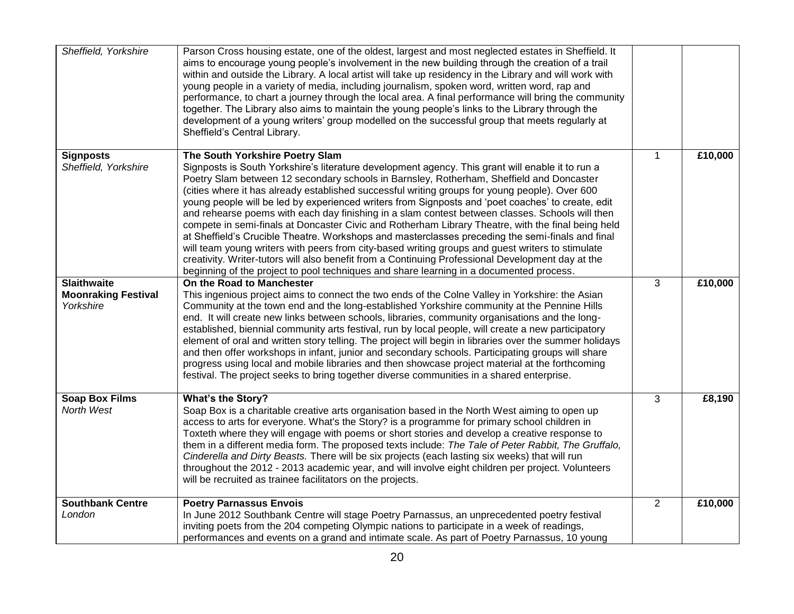| Sheffield, Yorkshire                                          | Parson Cross housing estate, one of the oldest, largest and most neglected estates in Sheffield. It<br>aims to encourage young people's involvement in the new building through the creation of a trail<br>within and outside the Library. A local artist will take up residency in the Library and will work with<br>young people in a variety of media, including journalism, spoken word, written word, rap and<br>performance, to chart a journey through the local area. A final performance will bring the community<br>together. The Library also aims to maintain the young people's links to the Library through the<br>development of a young writers' group modelled on the successful group that meets regularly at<br>Sheffield's Central Library.                                                                                                                                                                                                                                                                                         |              |         |
|---------------------------------------------------------------|---------------------------------------------------------------------------------------------------------------------------------------------------------------------------------------------------------------------------------------------------------------------------------------------------------------------------------------------------------------------------------------------------------------------------------------------------------------------------------------------------------------------------------------------------------------------------------------------------------------------------------------------------------------------------------------------------------------------------------------------------------------------------------------------------------------------------------------------------------------------------------------------------------------------------------------------------------------------------------------------------------------------------------------------------------|--------------|---------|
| <b>Signposts</b><br>Sheffield, Yorkshire                      | The South Yorkshire Poetry Slam<br>Signposts is South Yorkshire's literature development agency. This grant will enable it to run a<br>Poetry Slam between 12 secondary schools in Barnsley, Rotherham, Sheffield and Doncaster<br>(cities where it has already established successful writing groups for young people). Over 600<br>young people will be led by experienced writers from Signposts and 'poet coaches' to create, edit<br>and rehearse poems with each day finishing in a slam contest between classes. Schools will then<br>compete in semi-finals at Doncaster Civic and Rotherham Library Theatre, with the final being held<br>at Sheffield's Crucible Theatre. Workshops and masterclasses preceding the semi-finals and final<br>will team young writers with peers from city-based writing groups and guest writers to stimulate<br>creativity. Writer-tutors will also benefit from a Continuing Professional Development day at the<br>beginning of the project to pool techniques and share learning in a documented process. | $\mathbf{1}$ | £10,000 |
| <b>Slaithwaite</b><br><b>Moonraking Festival</b><br>Yorkshire | On the Road to Manchester<br>This ingenious project aims to connect the two ends of the Colne Valley in Yorkshire: the Asian<br>Community at the town end and the long-established Yorkshire community at the Pennine Hills<br>end. It will create new links between schools, libraries, community organisations and the long-<br>established, biennial community arts festival, run by local people, will create a new participatory<br>element of oral and written story telling. The project will begin in libraries over the summer holidays<br>and then offer workshops in infant, junior and secondary schools. Participating groups will share<br>progress using local and mobile libraries and then showcase project material at the forthcoming<br>festival. The project seeks to bring together diverse communities in a shared enterprise.                                                                                                                                                                                                   | 3            | £10,000 |
| <b>Soap Box Films</b><br>North West                           | What's the Story?<br>Soap Box is a charitable creative arts organisation based in the North West aiming to open up<br>access to arts for everyone. What's the Story? is a programme for primary school children in<br>Toxteth where they will engage with poems or short stories and develop a creative response to<br>them in a different media form. The proposed texts include: The Tale of Peter Rabbit, The Gruffalo,<br>Cinderella and Dirty Beasts. There will be six projects (each lasting six weeks) that will run<br>throughout the 2012 - 2013 academic year, and will involve eight children per project. Volunteers<br>will be recruited as trainee facilitators on the projects.                                                                                                                                                                                                                                                                                                                                                         | 3            | £8,190  |
| <b>Southbank Centre</b><br>London                             | <b>Poetry Parnassus Envois</b><br>In June 2012 Southbank Centre will stage Poetry Parnassus, an unprecedented poetry festival<br>inviting poets from the 204 competing Olympic nations to participate in a week of readings,<br>performances and events on a grand and intimate scale. As part of Poetry Parnassus, 10 young                                                                                                                                                                                                                                                                                                                                                                                                                                                                                                                                                                                                                                                                                                                            | 2            | £10,000 |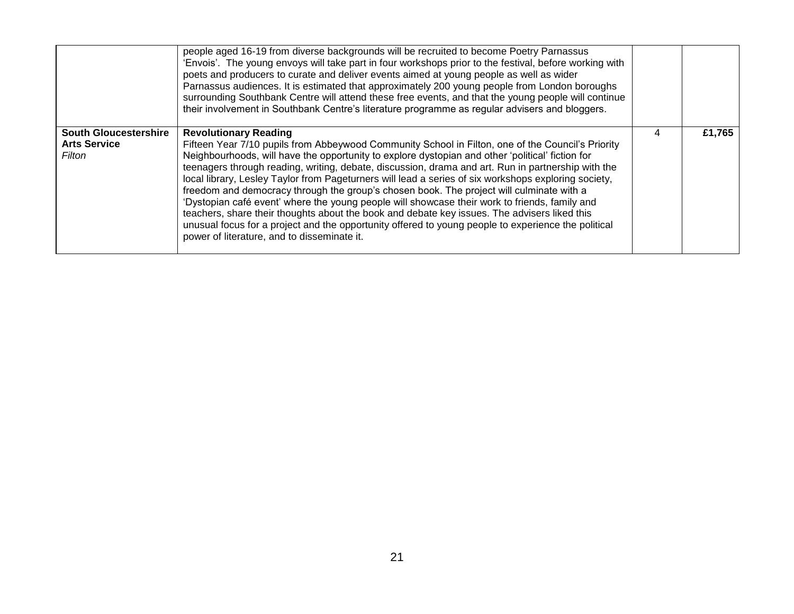|                                                               | people aged 16-19 from diverse backgrounds will be recruited to become Poetry Parnassus<br>'Envois'. The young envoys will take part in four workshops prior to the festival, before working with<br>poets and producers to curate and deliver events aimed at young people as well as wider<br>Parnassus audiences. It is estimated that approximately 200 young people from London boroughs<br>surrounding Southbank Centre will attend these free events, and that the young people will continue<br>their involvement in Southbank Centre's literature programme as regular advisers and bloggers.                                                                                                                                                                                                                                                                                                 |   |        |
|---------------------------------------------------------------|--------------------------------------------------------------------------------------------------------------------------------------------------------------------------------------------------------------------------------------------------------------------------------------------------------------------------------------------------------------------------------------------------------------------------------------------------------------------------------------------------------------------------------------------------------------------------------------------------------------------------------------------------------------------------------------------------------------------------------------------------------------------------------------------------------------------------------------------------------------------------------------------------------|---|--------|
| <b>South Gloucestershire</b><br><b>Arts Service</b><br>Filton | <b>Revolutionary Reading</b><br>Fifteen Year 7/10 pupils from Abbeywood Community School in Filton, one of the Council's Priority<br>Neighbourhoods, will have the opportunity to explore dystopian and other 'political' fiction for<br>teenagers through reading, writing, debate, discussion, drama and art. Run in partnership with the<br>local library, Lesley Taylor from Pageturners will lead a series of six workshops exploring society,<br>freedom and democracy through the group's chosen book. The project will culminate with a<br>'Dystopian café event' where the young people will showcase their work to friends, family and<br>teachers, share their thoughts about the book and debate key issues. The advisers liked this<br>unusual focus for a project and the opportunity offered to young people to experience the political<br>power of literature, and to disseminate it. | 4 | £1,765 |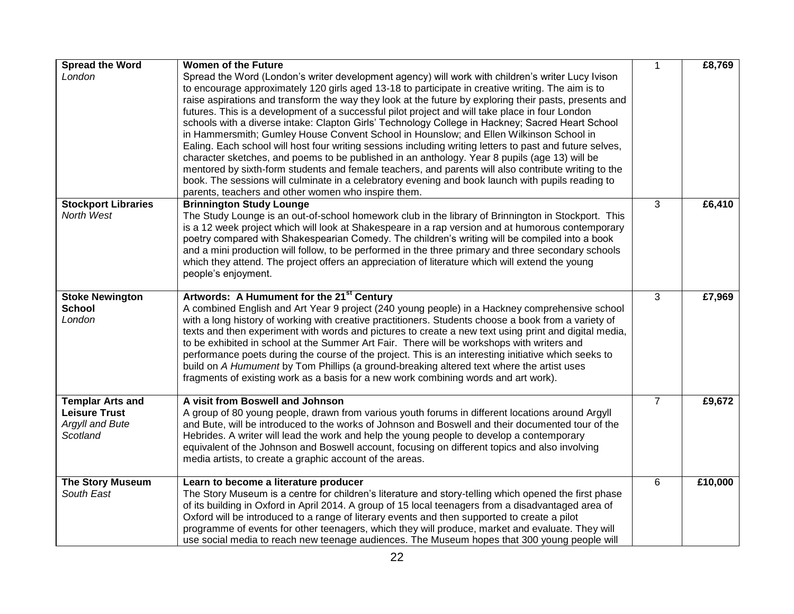| <b>Spread the Word</b><br>London                                               | <b>Women of the Future</b><br>Spread the Word (London's writer development agency) will work with children's writer Lucy Ivison<br>to encourage approximately 120 girls aged 13-18 to participate in creative writing. The aim is to<br>raise aspirations and transform the way they look at the future by exploring their pasts, presents and<br>futures. This is a development of a successful pilot project and will take place in four London<br>schools with a diverse intake: Clapton Girls' Technology College in Hackney; Sacred Heart School<br>in Hammersmith; Gumley House Convent School in Hounslow; and Ellen Wilkinson School in<br>Ealing. Each school will host four writing sessions including writing letters to past and future selves,<br>character sketches, and poems to be published in an anthology. Year 8 pupils (age 13) will be<br>mentored by sixth-form students and female teachers, and parents will also contribute writing to the | $\mathbf{1}$   | £8,769  |
|--------------------------------------------------------------------------------|----------------------------------------------------------------------------------------------------------------------------------------------------------------------------------------------------------------------------------------------------------------------------------------------------------------------------------------------------------------------------------------------------------------------------------------------------------------------------------------------------------------------------------------------------------------------------------------------------------------------------------------------------------------------------------------------------------------------------------------------------------------------------------------------------------------------------------------------------------------------------------------------------------------------------------------------------------------------|----------------|---------|
|                                                                                | book. The sessions will culminate in a celebratory evening and book launch with pupils reading to<br>parents, teachers and other women who inspire them.                                                                                                                                                                                                                                                                                                                                                                                                                                                                                                                                                                                                                                                                                                                                                                                                             |                |         |
| <b>Stockport Libraries</b><br>North West                                       | <b>Brinnington Study Lounge</b><br>The Study Lounge is an out-of-school homework club in the library of Brinnington in Stockport. This<br>is a 12 week project which will look at Shakespeare in a rap version and at humorous contemporary<br>poetry compared with Shakespearian Comedy. The children's writing will be compiled into a book<br>and a mini production will follow, to be performed in the three primary and three secondary schools<br>which they attend. The project offers an appreciation of literature which will extend the young<br>people's enjoyment.                                                                                                                                                                                                                                                                                                                                                                                       | 3              | £6,410  |
| <b>Stoke Newington</b><br><b>School</b><br>London                              | Artwords: A Humument for the 21 <sup>st</sup> Century<br>A combined English and Art Year 9 project (240 young people) in a Hackney comprehensive school<br>with a long history of working with creative practitioners. Students choose a book from a variety of<br>texts and then experiment with words and pictures to create a new text using print and digital media,<br>to be exhibited in school at the Summer Art Fair. There will be workshops with writers and<br>performance poets during the course of the project. This is an interesting initiative which seeks to<br>build on A Humument by Tom Phillips (a ground-breaking altered text where the artist uses<br>fragments of existing work as a basis for a new work combining words and art work).                                                                                                                                                                                                   | 3              | £7,969  |
| <b>Templar Arts and</b><br><b>Leisure Trust</b><br>Argyll and Bute<br>Scotland | A visit from Boswell and Johnson<br>A group of 80 young people, drawn from various youth forums in different locations around Argyll<br>and Bute, will be introduced to the works of Johnson and Boswell and their documented tour of the<br>Hebrides. A writer will lead the work and help the young people to develop a contemporary<br>equivalent of the Johnson and Boswell account, focusing on different topics and also involving<br>media artists, to create a graphic account of the areas.                                                                                                                                                                                                                                                                                                                                                                                                                                                                 | $\overline{7}$ | £9,672  |
| <b>The Story Museum</b><br>South East                                          | Learn to become a literature producer<br>The Story Museum is a centre for children's literature and story-telling which opened the first phase<br>of its building in Oxford in April 2014. A group of 15 local teenagers from a disadvantaged area of<br>Oxford will be introduced to a range of literary events and then supported to create a pilot<br>programme of events for other teenagers, which they will produce, market and evaluate. They will<br>use social media to reach new teenage audiences. The Museum hopes that 300 young people will                                                                                                                                                                                                                                                                                                                                                                                                            | 6              | £10,000 |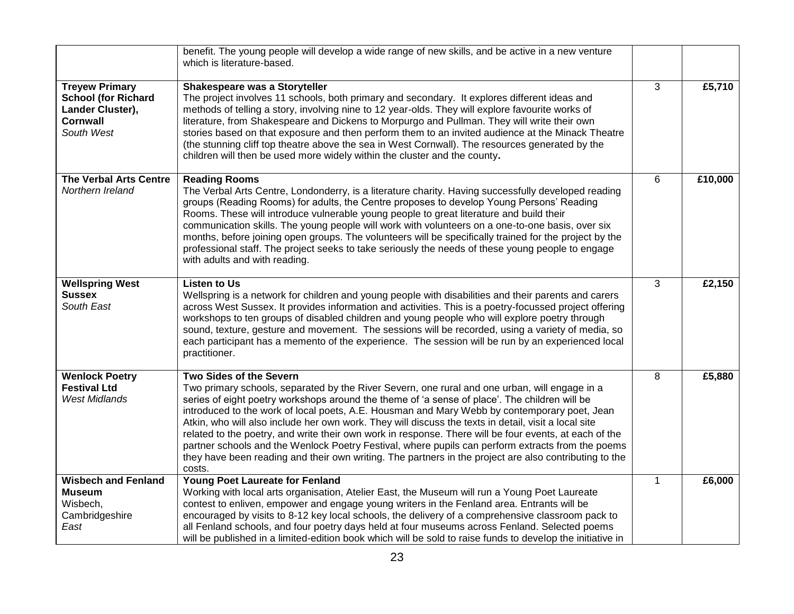|                                                                                                          | benefit. The young people will develop a wide range of new skills, and be active in a new venture<br>which is literature-based.                                                                                                                                                                                                                                                                                                                                                                                                                                                                                                                                                                                                                                      |              |         |
|----------------------------------------------------------------------------------------------------------|----------------------------------------------------------------------------------------------------------------------------------------------------------------------------------------------------------------------------------------------------------------------------------------------------------------------------------------------------------------------------------------------------------------------------------------------------------------------------------------------------------------------------------------------------------------------------------------------------------------------------------------------------------------------------------------------------------------------------------------------------------------------|--------------|---------|
| <b>Treyew Primary</b><br><b>School (for Richard</b><br>Lander Cluster),<br><b>Cornwall</b><br>South West | Shakespeare was a Storyteller<br>The project involves 11 schools, both primary and secondary. It explores different ideas and<br>methods of telling a story, involving nine to 12 year-olds. They will explore favourite works of<br>literature, from Shakespeare and Dickens to Morpurgo and Pullman. They will write their own<br>stories based on that exposure and then perform them to an invited audience at the Minack Theatre<br>(the stunning cliff top theatre above the sea in West Cornwall). The resources generated by the<br>children will then be used more widely within the cluster and the county.                                                                                                                                                | 3            | £5,710  |
| <b>The Verbal Arts Centre</b><br>Northern Ireland                                                        | <b>Reading Rooms</b><br>The Verbal Arts Centre, Londonderry, is a literature charity. Having successfully developed reading<br>groups (Reading Rooms) for adults, the Centre proposes to develop Young Persons' Reading<br>Rooms. These will introduce vulnerable young people to great literature and build their<br>communication skills. The young people will work with volunteers on a one-to-one basis, over six<br>months, before joining open groups. The volunteers will be specifically trained for the project by the<br>professional staff. The project seeks to take seriously the needs of these young people to engage<br>with adults and with reading.                                                                                               | 6            | £10,000 |
| <b>Wellspring West</b><br><b>Sussex</b><br>South East                                                    | <b>Listen to Us</b><br>Wellspring is a network for children and young people with disabilities and their parents and carers<br>across West Sussex. It provides information and activities. This is a poetry-focussed project offering<br>workshops to ten groups of disabled children and young people who will explore poetry through<br>sound, texture, gesture and movement. The sessions will be recorded, using a variety of media, so<br>each participant has a memento of the experience. The session will be run by an experienced local<br>practitioner.                                                                                                                                                                                                    | 3            | £2,150  |
| <b>Wenlock Poetry</b><br><b>Festival Ltd</b><br>West Midlands                                            | Two Sides of the Severn<br>Two primary schools, separated by the River Severn, one rural and one urban, will engage in a<br>series of eight poetry workshops around the theme of 'a sense of place'. The children will be<br>introduced to the work of local poets, A.E. Housman and Mary Webb by contemporary poet, Jean<br>Atkin, who will also include her own work. They will discuss the texts in detail, visit a local site<br>related to the poetry, and write their own work in response. There will be four events, at each of the<br>partner schools and the Wenlock Poetry Festival, where pupils can perform extracts from the poems<br>they have been reading and their own writing. The partners in the project are also contributing to the<br>costs. | 8            | £5,880  |
| <b>Wisbech and Fenland</b><br><b>Museum</b><br>Wisbech,<br>Cambridgeshire<br>East                        | <b>Young Poet Laureate for Fenland</b><br>Working with local arts organisation, Atelier East, the Museum will run a Young Poet Laureate<br>contest to enliven, empower and engage young writers in the Fenland area. Entrants will be<br>encouraged by visits to 8-12 key local schools, the delivery of a comprehensive classroom pack to<br>all Fenland schools, and four poetry days held at four museums across Fenland. Selected poems<br>will be published in a limited-edition book which will be sold to raise funds to develop the initiative in                                                                                                                                                                                                            | $\mathbf{1}$ | £6,000  |